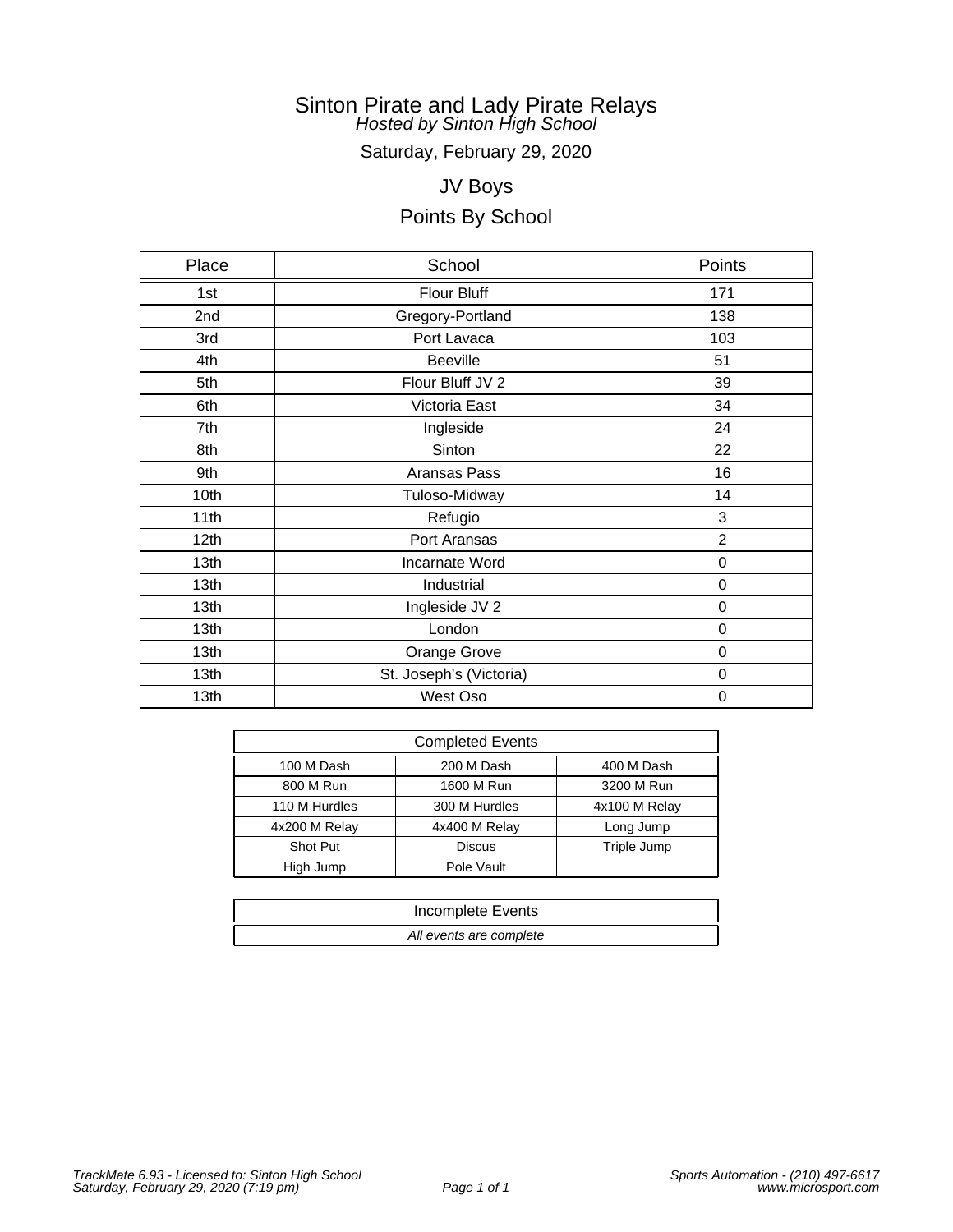Saturday, February 29, 2020

# JV Boys

| Place            | School                  | Points           |
|------------------|-------------------------|------------------|
| 1st              | Flour Bluff             | 171              |
| 2nd              | Gregory-Portland        | 138              |
| 3rd              | Port Lavaca             | 103              |
| 4th              | <b>Beeville</b>         | 51               |
| 5th              | Flour Bluff JV 2        | 39               |
| 6th              | Victoria East           | 34               |
| 7th              | Ingleside               | 24               |
| 8th              | Sinton                  | 22               |
| 9th              | Aransas Pass            | 16               |
| 10th             | Tuloso-Midway           | 14               |
| 11th             | Refugio                 | 3                |
| 12 <sub>th</sub> | Port Aransas            | $\overline{2}$   |
| 13th             | Incarnate Word          | 0                |
| 13th             | Industrial              | 0                |
| 13th             | Ingleside JV 2          | $\boldsymbol{0}$ |
| 13th             | London                  | 0                |
| 13th             | Orange Grove            | 0                |
| 13th             | St. Joseph's (Victoria) | 0                |
| 13th             | West Oso                | 0                |

| <b>Completed Events</b> |               |               |  |
|-------------------------|---------------|---------------|--|
| 100 M Dash              | 200 M Dash    | 400 M Dash    |  |
| 800 M Run               | 1600 M Run    | 3200 M Run    |  |
| 110 M Hurdles           | 300 M Hurdles | 4x100 M Relay |  |
| 4x200 M Relay           | 4x400 M Relay | Long Jump     |  |
| Shot Put                | <b>Discus</b> | Triple Jump   |  |
| High Jump               | Pole Vault    |               |  |

| Incomplete Events       |
|-------------------------|
| All events are complete |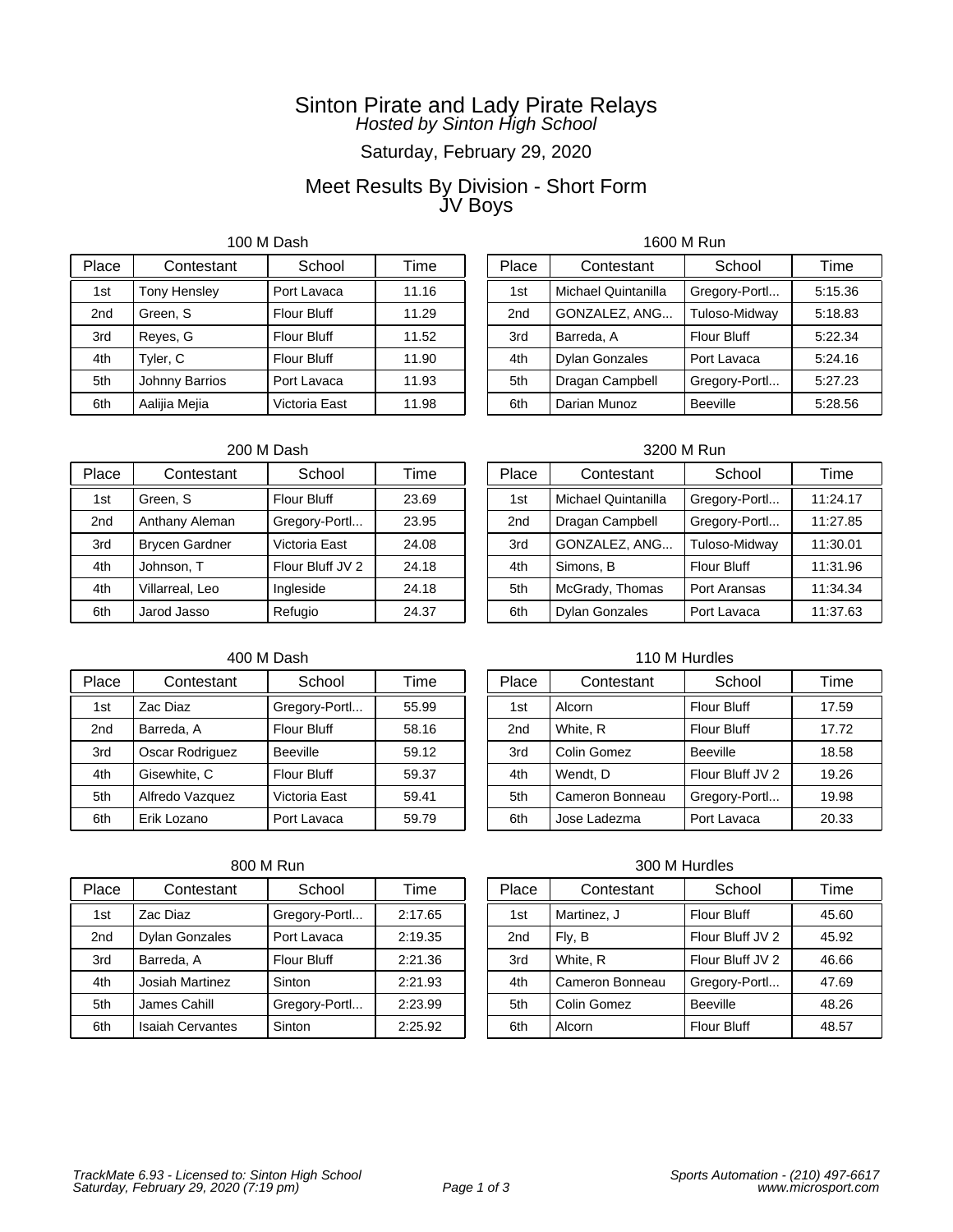# Saturday, February 29, 2020

### Meet Results By Division - Short Form JV Boys

100 M Dash

| Place           | Contestant            | School             | Time  |
|-----------------|-----------------------|--------------------|-------|
| 1st             | <b>Tony Hensley</b>   | Port Lavaca        | 11.16 |
| 2 <sub>nd</sub> | Green, S              | <b>Flour Bluff</b> | 11.29 |
| 3rd             | Reyes, G              | <b>Flour Bluff</b> | 11.52 |
| 4th             | Tyler, C              | <b>Flour Bluff</b> | 11.90 |
| 5th             | <b>Johnny Barrios</b> | Port Lavaca        | 11.93 |
| 6th             | Aalijia Mejia         | Victoria East      | 11.98 |

### 1600 M Run

| Place           | Contestant            | School             | Time    |
|-----------------|-----------------------|--------------------|---------|
| 1st             | Michael Quintanilla   | Gregory-Portl      | 5:15.36 |
| 2 <sub>nd</sub> | GONZALEZ, ANG         | Tuloso-Midway      | 5:18.83 |
| 3rd             | Barreda, A            | <b>Flour Bluff</b> | 5:22.34 |
| 4th             | <b>Dylan Gonzales</b> | Port Lavaca        | 5:24.16 |
| 5th             | Dragan Campbell       | Gregory-Portl      | 5:27.23 |
| 6th             | Darian Munoz          | <b>Beeville</b>    | 5:28.56 |

### 200 M Dash

| Place | Contestant            | School             | Time  |
|-------|-----------------------|--------------------|-------|
| 1st   | Green, S              | <b>Flour Bluff</b> | 23.69 |
| 2nd   | Anthany Aleman        | Gregory-Portl      | 23.95 |
| 3rd   | <b>Brycen Gardner</b> | Victoria East      | 24.08 |
| 4th   | Johnson, T            | Flour Bluff JV 2   | 24.18 |
| 4th   | Villarreal, Leo       | Ingleside          | 24.18 |
| 6th   | Jarod Jasso           | Refugio            | 24.37 |

### 400 M Dash

| Place           | Contestant      | School             | Time  |
|-----------------|-----------------|--------------------|-------|
| 1st             | Zac Diaz        | Gregory-Portl      | 55.99 |
| 2 <sub>nd</sub> | Barreda, A      | <b>Flour Bluff</b> | 58.16 |
| 3rd             | Oscar Rodriguez | <b>Beeville</b>    | 59.12 |
| 4th             | Gisewhite, C    | <b>Flour Bluff</b> | 59.37 |
| 5th             | Alfredo Vazquez | Victoria East      | 59.41 |
| 6th             | Erik Lozano     | Port Lavaca        | 59.79 |

### 800 M Run

| Place | Contestant              | School             | Time    |
|-------|-------------------------|--------------------|---------|
| 1st   | Zac Diaz                | Gregory-Portl      | 2:17.65 |
| 2nd   | <b>Dylan Gonzales</b>   | Port Lavaca        | 2:19.35 |
| 3rd   | Barreda, A              | <b>Flour Bluff</b> | 2:21.36 |
| 4th   | Josiah Martinez         | Sinton             | 2:21.93 |
| 5th   | James Cahill            | Gregory-Portl      | 2:23.99 |
| 6th   | <b>Isaiah Cervantes</b> | Sinton             | 2:25.92 |

### 3200 M Run

| Place           | Contestant            | School        | Time     |
|-----------------|-----------------------|---------------|----------|
| 1st             | Michael Quintanilla   | Gregory-Portl | 11:24.17 |
| 2 <sub>nd</sub> | Dragan Campbell       | Gregory-Portl | 11:27.85 |
| 3rd             | GONZALEZ, ANG         | Tuloso-Midway | 11:30.01 |
| 4th             | Simons, B             | Flour Bluff   | 11:31.96 |
| 5th             | McGrady, Thomas       | Port Aransas  | 11:34.34 |
| 6th             | <b>Dylan Gonzales</b> | Port Lavaca   | 11:37.63 |

### 110 M Hurdles

| Place           | Contestant      | School             | Time  |
|-----------------|-----------------|--------------------|-------|
| 1st             | Alcorn          | <b>Flour Bluff</b> | 17.59 |
| 2 <sub>nd</sub> | White, R        | <b>Flour Bluff</b> | 17.72 |
| 3rd             | Colin Gomez     | <b>Beeville</b>    | 18.58 |
| 4th             | Wendt, D        | Flour Bluff JV 2   | 19.26 |
| 5th             | Cameron Bonneau | Gregory-Portl      | 19.98 |
| 6th             | Jose Ladezma    | Port Lavaca        | 20.33 |

| Place           | Contestant      | School             | Time  |
|-----------------|-----------------|--------------------|-------|
| 1st             | Martinez, J     | <b>Flour Bluff</b> | 45.60 |
| 2 <sub>nd</sub> | Fly, B          | Flour Bluff JV 2   | 45.92 |
| 3rd             | White, R        | Flour Bluff JV 2   | 46.66 |
| 4th             | Cameron Bonneau | Gregory-Portl      | 47.69 |
| 5th             | Colin Gomez     | <b>Beeville</b>    | 48.26 |
| 6th             | Alcorn          | <b>Flour Bluff</b> | 48.57 |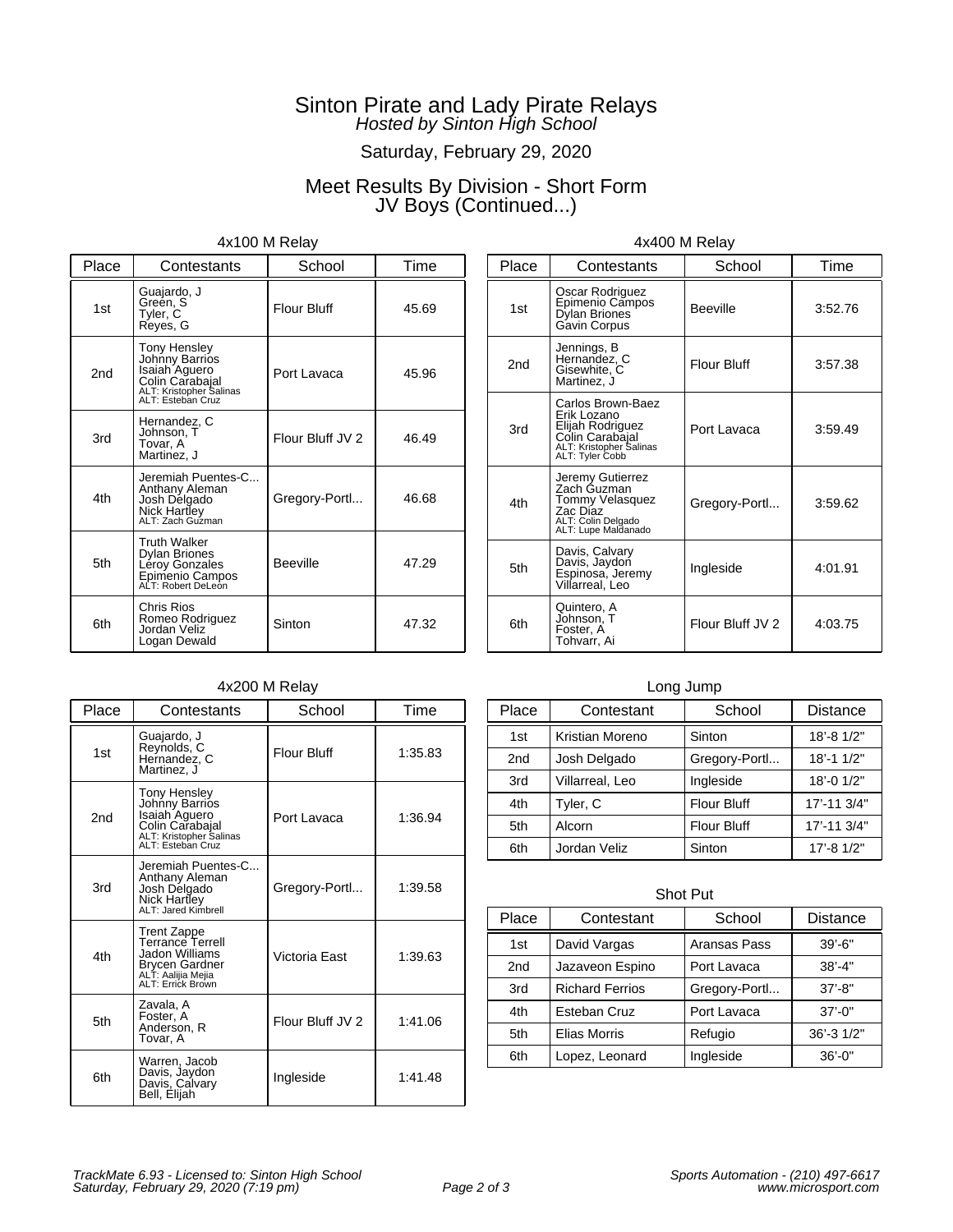# Saturday, February 29, 2020

# Meet Results By Division - Short Form JV Boys (Continued...)

### 4x100 M Relay

| Place           | Contestants                                                                                                               | School             | Time  |
|-----------------|---------------------------------------------------------------------------------------------------------------------------|--------------------|-------|
| 1st             | Guajardo, J<br>Green, S<br>Tyler, C<br>Reyes, G                                                                           | <b>Flour Bluff</b> | 45.69 |
| 2 <sub>nd</sub> | <b>Tony Hensley</b><br>Johnny Barrios<br>Isaiah Aguero<br>Colin Carabajal<br>ALT: Kristopher Salinas<br>ALT: Esteban Cruz | Port Lavaca        | 45.96 |
| 3rd             | Hernandez, C<br>Johnson, T<br>Tovar, A<br>Martinez, J                                                                     | Flour Bluff JV 2   | 46.49 |
| 4th             | Jeremiah Puentes-C<br>Anthany Aleman<br>Josh Delgado<br>Nick Hartley<br>ALT: Zach Guzman                                  | Gregory-Portl      | 46.68 |
| 5th             | Truth Walker<br>Dylan Briones<br>Leroy Gonzales<br>Epimenio Campos<br>ALT: Robert DeLeon                                  | <b>Beeville</b>    | 47.29 |
| 6th             | Chris Rios<br>Romeo Rodriguez<br>Jordan Veliz<br>Logan Dewald                                                             | Sinton             | 47.32 |

# 4x400 M Relay

| Place | Contestants                                                                                                           | School             | Time    |
|-------|-----------------------------------------------------------------------------------------------------------------------|--------------------|---------|
| 1st   | Oscar Rodriguez<br>Epimenio Campos<br>Dylan Briones<br>Gavin Corpus                                                   | <b>Beeville</b>    | 3:52.76 |
| 2nd   | Jennings, B<br>Hernandez, C<br>Gisewhite, C<br>Martinez, J                                                            | <b>Flour Bluff</b> | 3:57.38 |
| 3rd   | Carlos Brown-Baez<br>Erik Lozano<br>Elijah Rodriguez<br>Colin Carabajal<br>ALT: Kristopher Salinas<br>ALT: Tyler Cobb | Port Lavaca        | 3:59.49 |
| 4th   | Jeremy Gutierrez<br>Zach Guzman<br>Tommy Velasquez<br>Zac Diaz<br>ALT: Colin Delgado<br>ALT: Lupe Maldanado           | Gregory-Portl      | 3:59.62 |
| 5th   | Davis, Calvary<br>Davis, Jaydon<br>Espinosa, Jeremy<br>Villarreal, Leo                                                | Ingleside          | 4:01.91 |
| 6th   | Quintero, A<br>Johnson, T<br>Foster, A<br>Tohvarr, Ai                                                                 | Flour Bluff JV 2   | 4:03.75 |

### 4x200 M Relay

| Place           | Contestants                                                                                                        | School             | Time    |
|-----------------|--------------------------------------------------------------------------------------------------------------------|--------------------|---------|
| 1st             | Guajardo, J<br>Reynolds, C<br>Hernandez, C<br>Martinez, J                                                          | <b>Flour Bluff</b> | 1:35.83 |
| 2 <sub>nd</sub> | Tony Hensley<br>Johnny Barrios<br>Isaiah Aguero<br>Colin Carabajal<br>ALT: Kristopher Salinas<br>ALT: Esteban Cruz | Port Lavaca        | 1:36.94 |
| 3rd             | Jeremiah Puentes-C<br>Anthany Aleman<br>Josh Delgado<br>Nick Hartley<br>ALT: Jared Kimbrell                        | Gregory-Portl      | 1:39.58 |
| 4th             | Trent Zappe<br>Terrance Terrell<br>Jadon Williams<br>Brycen Gardner<br>ALT: Aalijia Mejia<br>ALT: Errick Brown     | Victoria East      | 1:39.63 |
| 5th             | Zavala, A<br>Foster, A<br>Anderson, R<br>Tovar, A                                                                  | Flour Bluff JV 2   | 1:41.06 |
| 6th             | Warren, Jacob<br>Davis, Jaydon<br>Davis, Calvary<br>Bell, Elijah                                                   | Ingleside          | 1:41.48 |

### Long Jump

| Place           | Contestant      | School             | <b>Distance</b> |
|-----------------|-----------------|--------------------|-----------------|
| 1st             | Kristian Moreno | Sinton             | 18'-8 1/2"      |
| 2 <sub>nd</sub> | Josh Delgado    | Gregory-Portl      | $18' - 11/2"$   |
| 3rd             | Villarreal, Leo | Ingleside          | 18'-0 1/2"      |
| 4th             | Tyler, C        | <b>Flour Bluff</b> | 17'-11 3/4"     |
| 5th             | Alcorn          | <b>Flour Bluff</b> | 17'-11 3/4"     |
| 6th             | Jordan Veliz    | Sinton             | 17'-8 1/2"      |

#### Shot Put

| Place           | Contestant             | School        | <b>Distance</b> |
|-----------------|------------------------|---------------|-----------------|
| 1st             | David Vargas           | Aransas Pass  | $39' - 6"$      |
| 2 <sub>nd</sub> | Jazaveon Espino        | Port Lavaca   | $38' - 4"$      |
| 3rd             | <b>Richard Ferrios</b> | Gregory-Portl | $37' - 8''$     |
| 4th             | Esteban Cruz           | Port Lavaca   | $37' - 0''$     |
| 5th             | <b>Elias Morris</b>    | Refugio       | 36'-3 1/2"      |
| 6th             | Lopez, Leonard         | Ingleside     | $36' - 0''$     |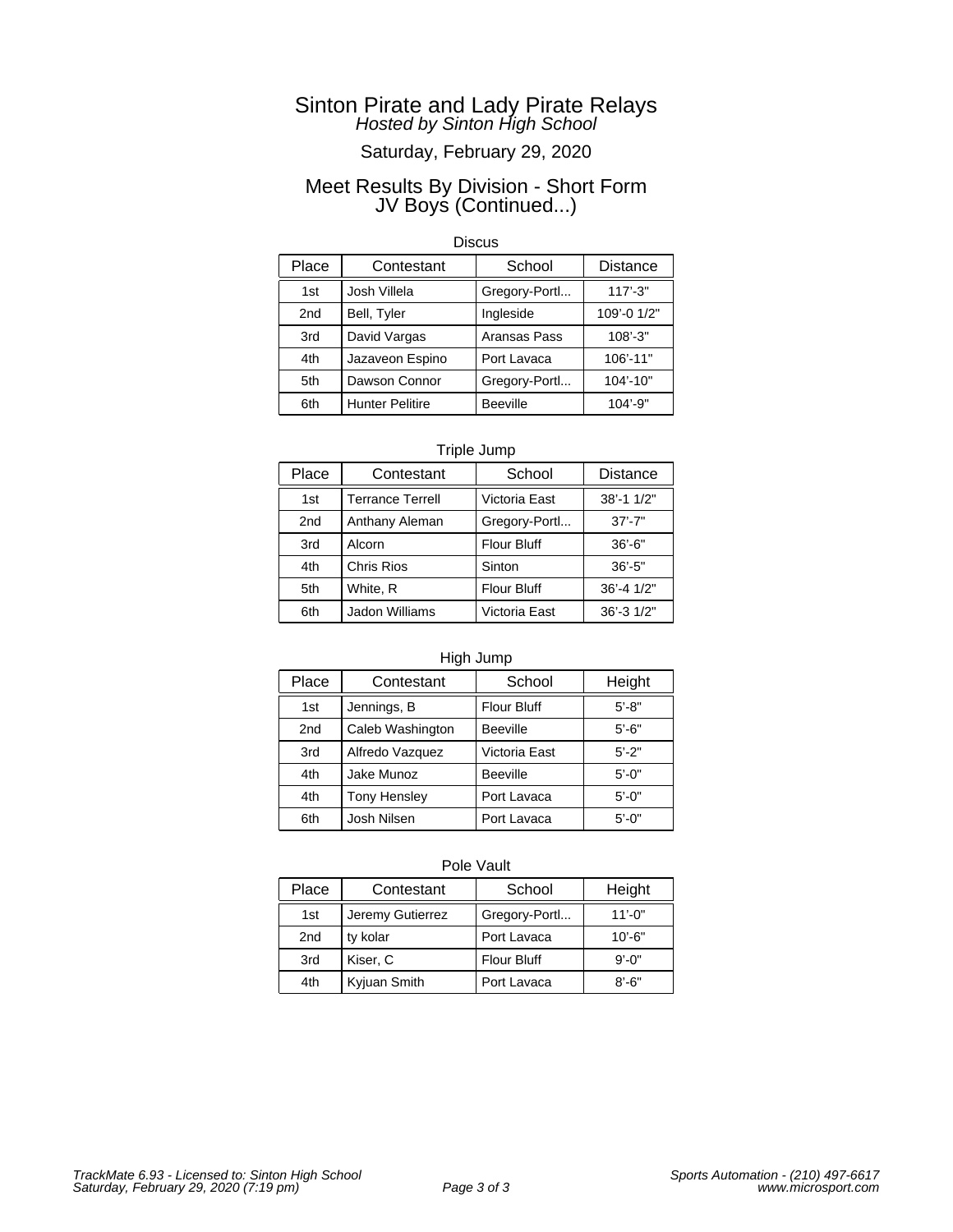# Saturday, February 29, 2020

### Meet Results By Division - Short Form JV Boys (Continued...)

### **Discus**

| Place | Contestant             | School          | <b>Distance</b> |
|-------|------------------------|-----------------|-----------------|
| 1st   | Josh Villela           | Gregory-Portl   | $117' - 3"$     |
| 2nd   | Bell, Tyler            | Ingleside       | 109'-0 1/2"     |
| 3rd   | David Vargas           | Aransas Pass    | $108' - 3"$     |
| 4th   | Jazaveon Espino        | Port Lavaca     | 106'-11"        |
| 5th   | Dawson Connor          | Gregory-Portl   | 104'-10"        |
| 6th   | <b>Hunter Pelitire</b> | <b>Beeville</b> | 104'-9"         |

### Triple Jump

| Place           | Contestant              | School             | <b>Distance</b>  |
|-----------------|-------------------------|--------------------|------------------|
| 1 <sub>st</sub> | <b>Terrance Terrell</b> | Victoria East      | 38'-1 1/2"       |
| 2nd             | Anthany Aleman          | Gregory-Portl      | $37' - 7"$       |
| 3rd             | Alcorn                  | <b>Flour Bluff</b> | $36' - 6"$       |
| 4th             | <b>Chris Rios</b>       | Sinton             | $36' - 5"$       |
| 5th             | White, R                | <b>Flour Bluff</b> | $36' - 4$ $1/2"$ |
| 6th             | Jadon Williams          | Victoria East      | 36'-3 1/2"       |

### High Jump

| Place | Contestant          | School             | Height     |
|-------|---------------------|--------------------|------------|
| 1st   | Jennings, B         | <b>Flour Bluff</b> | $5' - 8"$  |
| 2nd   | Caleb Washington    | <b>Beeville</b>    | $5' - 6"$  |
| 3rd   | Alfredo Vazquez     | Victoria East      | $5' - 2"$  |
| 4th   | Jake Munoz          | <b>Beeville</b>    | $5' - 0''$ |
| 4th   | <b>Tony Hensley</b> | Port Lavaca        | $5' - 0''$ |
| 6th   | Josh Nilsen         | Port Lavaca        | $5' - 0''$ |

| Place           | Contestant       | School             | Height      |
|-----------------|------------------|--------------------|-------------|
| 1st             | Jeremy Gutierrez | Gregory-Portl      | $11' - 0''$ |
| 2 <sub>nd</sub> | ty kolar         | Port Lavaca        | $10' - 6"$  |
| 3rd             | Kiser, C         | <b>Flour Bluff</b> | $9' - 0''$  |
| 4th             | Kyjuan Smith     | Port Lavaca        | $8' - 6"$   |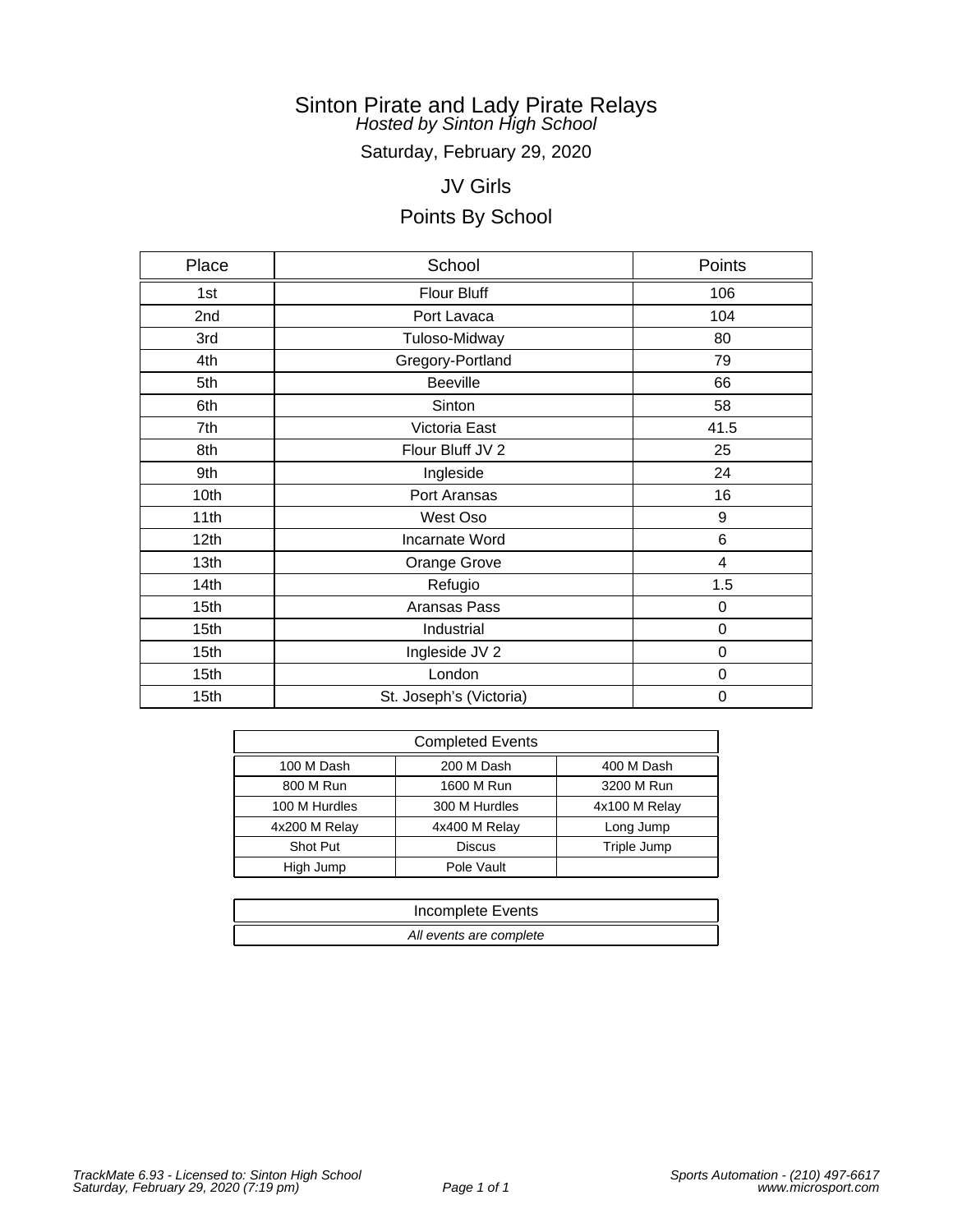Saturday, February 29, 2020

# JV Girls

| Place            | School                  | Points           |
|------------------|-------------------------|------------------|
| 1st              | Flour Bluff             | 106              |
| 2nd              | Port Lavaca             | 104              |
| 3rd              | Tuloso-Midway           | 80               |
| 4th              | Gregory-Portland        | 79               |
| 5th              | <b>Beeville</b>         | 66               |
| 6th              | Sinton                  | 58               |
| 7th              | Victoria East           | 41.5             |
| 8th              | Flour Bluff JV 2        | 25               |
| 9th              | Ingleside               | 24               |
| 10th             | Port Aransas            | 16               |
| 11th             | West Oso                | 9                |
| 12 <sub>th</sub> | Incarnate Word          | 6                |
| 13th             | Orange Grove            | 4                |
| 14th             | Refugio                 | 1.5              |
| 15th             | Aransas Pass            | $\mathbf 0$      |
| 15th             | Industrial              | 0                |
| 15th             | Ingleside JV 2          | $\boldsymbol{0}$ |
| 15th             | London                  | 0                |
| 15th             | St. Joseph's (Victoria) | $\mathbf 0$      |

| <b>Completed Events</b>        |               |               |  |
|--------------------------------|---------------|---------------|--|
| 100 M Dash<br>200 M Dash       |               | 400 M Dash    |  |
| 800 M Run                      | 1600 M Run    | 3200 M Run    |  |
| 300 M Hurdles<br>100 M Hurdles |               | 4x100 M Relay |  |
| 4x200 M Relay                  | 4x400 M Relay | Long Jump     |  |
| Shot Put<br><b>Discus</b>      |               | Triple Jump   |  |
| High Jump                      | Pole Vault    |               |  |

| Incomplete Events       |
|-------------------------|
| All events are complete |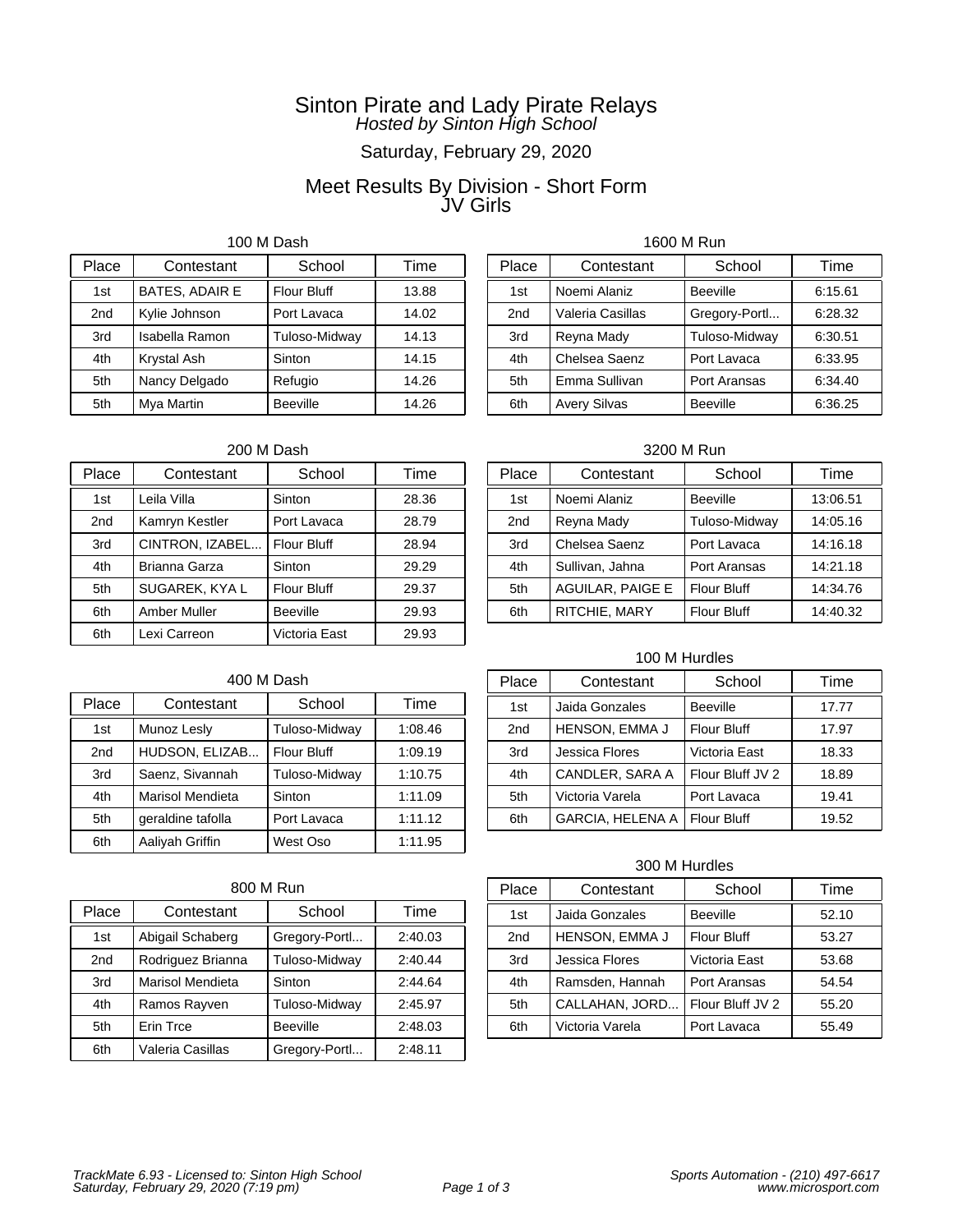# Saturday, February 29, 2020

### Meet Results By Division - Short Form JV Girls

100 M Dash

| Place           | Contestant            | School             | Time  |
|-----------------|-----------------------|--------------------|-------|
| 1st             | <b>BATES, ADAIR E</b> | <b>Flour Bluff</b> | 13.88 |
| 2 <sub>nd</sub> | Kylie Johnson         | Port Lavaca        | 14.02 |
| 3rd             | Isabella Ramon        | Tuloso-Midway      | 14.13 |
| 4th             | Krystal Ash           | Sinton             | 14.15 |
| 5th             | Nancy Delgado         | Refugio            | 14.26 |
| 5th             | Mya Martin            | <b>Beeville</b>    | 14.26 |

### 200 M Dash

| Place           | Contestant      | School             | Time  |
|-----------------|-----------------|--------------------|-------|
| 1st             | Leila Villa     | Sinton             | 28.36 |
| 2 <sub>nd</sub> | Kamryn Kestler  | Port Lavaca        | 28.79 |
| 3rd             | CINTRON, IZABEL | <b>Flour Bluff</b> | 28.94 |
| 4th             | Brianna Garza   | Sinton             | 29.29 |
| 5th             | SUGAREK, KYA L  | <b>Flour Bluff</b> | 29.37 |
| 6th             | Amber Muller    | <b>Beeville</b>    | 29.93 |
| 6th             | Lexi Carreon    | Victoria East      | 29.93 |

### 1600 M Run

| Place           | Contestant          | School          | Time    |
|-----------------|---------------------|-----------------|---------|
| 1st             | Noemi Alaniz        | <b>Beeville</b> | 6:15.61 |
| 2 <sub>nd</sub> | Valeria Casillas    | Gregory-Portl   | 6:28.32 |
| 3rd             | Reyna Mady          | Tuloso-Midway   | 6:30.51 |
| 4th             | Chelsea Saenz       | Port Lavaca     | 6:33.95 |
| 5th             | Emma Sullivan       | Port Aransas    | 6:34.40 |
| 6th             | <b>Avery Silvas</b> | <b>Beeville</b> | 6:36.25 |

3200 M Run

| Place | Contestant              | School             | Time     |
|-------|-------------------------|--------------------|----------|
| 1st   | Noemi Alaniz            | <b>Beeville</b>    | 13:06.51 |
| 2nd   | Reyna Mady              | Tuloso-Midway      | 14:05.16 |
| 3rd   | Chelsea Saenz           | Port Lavaca        | 14:16.18 |
| 4th   | Sullivan, Jahna         | Port Aransas       | 14:21.18 |
| 5th   | <b>AGUILAR, PAIGE E</b> | <b>Flour Bluff</b> | 14:34.76 |
| 6th   | RITCHIE, MARY           | <b>Flour Bluff</b> | 14:40.32 |

### 100 M Hurdles

# 400 M Dash

| Place           | Contestant        | School             | Time    |
|-----------------|-------------------|--------------------|---------|
| 1st             | Munoz Lesly       | Tuloso-Midway      | 1:08.46 |
| 2 <sub>nd</sub> | HUDSON, ELIZAB    | <b>Flour Bluff</b> | 1:09.19 |
| 3rd             | Saenz, Sivannah   | Tuloso-Midway      | 1:10.75 |
| 4th             | Marisol Mendieta  | Sinton             | 1:11.09 |
| 5th             | geraldine tafolla | Port Lavaca        | 1:11.12 |
| 6th             | Aaliyah Griffin   | West Oso           | 1:11.95 |

### 800 M Run

| Place           | Contestant              | School          | Time    |
|-----------------|-------------------------|-----------------|---------|
| 1st             | Abigail Schaberg        | Gregory-Portl   | 2:40.03 |
| 2 <sub>nd</sub> | Rodriguez Brianna       | Tuloso-Midway   | 2:40.44 |
| 3rd             | <b>Marisol Mendieta</b> | Sinton          | 2:44.64 |
| 4th             | Ramos Rayven            | Tuloso-Midway   | 2:45.97 |
| 5th             | Erin Trce               | <b>Beeville</b> | 2:48.03 |
| 6th             | Valeria Casillas        | Gregory-Portl   | 2:48.11 |

| Place | Contestant              | School             | Time  |
|-------|-------------------------|--------------------|-------|
| 1st   | Jaida Gonzales          | <b>Beeville</b>    | 17.77 |
| 2nd   | <b>HENSON, EMMA J</b>   | <b>Flour Bluff</b> | 17.97 |
| 3rd   | Jessica Flores          | Victoria East      | 18.33 |
| 4th   | CANDLER, SARA A         | Flour Bluff JV 2   | 18.89 |
| 5th   | Victoria Varela         | Port Lavaca        | 19.41 |
| 6th   | <b>GARCIA, HELENA A</b> | <b>Flour Bluff</b> | 19.52 |

| Place           | Contestant      | School             | Time  |
|-----------------|-----------------|--------------------|-------|
| 1st             | Jaida Gonzales  | <b>Beeville</b>    | 52.10 |
| 2 <sub>nd</sub> | HENSON, EMMA J  | <b>Flour Bluff</b> | 53.27 |
| 3rd             | Jessica Flores  | Victoria East      | 53.68 |
| 4th             | Ramsden, Hannah | Port Aransas       | 54.54 |
| 5th             | CALLAHAN, JORD  | Flour Bluff JV 2   | 55.20 |
| 6th             | Victoria Varela | Port Lavaca        | 55.49 |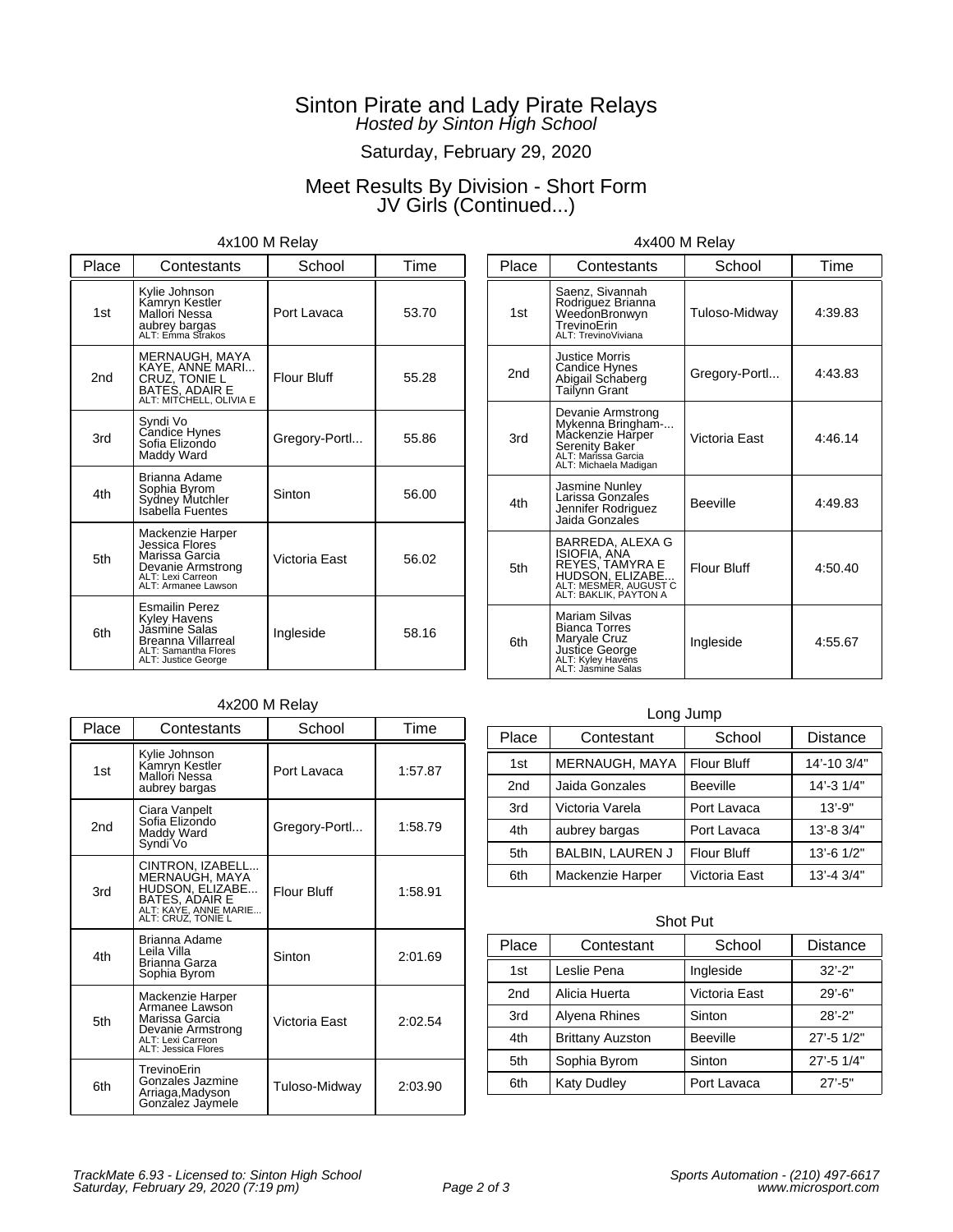# Saturday, February 29, 2020

# Meet Results By Division - Short Form JV Girls (Continued...)

### 4x100 M Relay

| Place           | Contestants                                                                                                                        | School             | Time  |
|-----------------|------------------------------------------------------------------------------------------------------------------------------------|--------------------|-------|
| 1st             | Kylie Johnson<br>Kamryn Kestler<br>Mallori Nessa<br>aubrey bargas<br>ALT: Emma Strakos                                             | Port Lavaca        | 53.70 |
| 2 <sub>nd</sub> | MERNAUGH, MAYA<br>KAYE, ANNE MARI<br>CRUZ, TONIE L<br>BATES, ADAIR E<br>ALT: MITCHELL, OLIVIA E                                    | <b>Flour Bluff</b> | 55.28 |
| 3rd             | Syndi Vo<br>Candice Hynes<br>Sofia Elizondo<br>Maddy Ward                                                                          | Gregory-Portl      | 55.86 |
| 4th             | Brianna Adame<br>Sophia Byrom<br>Sydney Mutchler<br>Isabella Fuentes                                                               | Sinton             | 56.00 |
| 5th             | Mackenzie Harper<br>Jessica Flores<br>Marissa Garcia<br>Devanie Armstrong<br>ALT: Lexi Carreon<br>ALT: Armanee Lawson              | Victoria East      | 56.02 |
| 6th             | <b>Esmailin Perez</b><br>Kyley Havens<br>Jasmine Salas<br><b>Breanna Villarreal</b><br>ALT: Samantha Flores<br>ALT: Justice George | Ingleside          | 58.16 |

### 4x200 M Relay

| Place | Contestants                                                                                                            | School             | Time    |
|-------|------------------------------------------------------------------------------------------------------------------------|--------------------|---------|
| 1st   | Kylie Johnson<br>Kamryn Kestler<br>Mallori Nessa<br>aubrey bargas                                                      | Port Lavaca        | 1:57.87 |
| 2nd   | Ciara Vanpelt<br>Sofia Elizondo<br>Maddy Ward<br>Syndi Vo                                                              | Gregory-Portl      | 1:58.79 |
| 3rd   | CINTRON, IZABELL<br>MERNAUGH, MAYA<br>HUDSON, ELIZABE<br>BATES, ADAIR E<br>ALT: KAYE, ANNE MARIE<br>ALT: CRUZ. TONIE L | <b>Flour Bluff</b> | 1:58.91 |
| 4th   | Brianna Adame<br>Leila Villa<br>Brianna Garza<br>Sophia Byrom                                                          | Sinton             | 2:01.69 |
| 5th   | Mackenzie Harper<br>Armanee Lawson<br>Marissa Garcia<br>Devanie Armstrong<br>ALT: Lexi Carreon<br>ALT: Jessica Flores  | Victoria East      | 2:02.54 |
| 6th   | TrevinoErin<br>Gonzales Jazmine<br>Arriaga, Madyson<br>Gonzalez Jaymele                                                | Tuloso-Midway      | 2:03.90 |

| 4x400 M Relay |  |  |  |
|---------------|--|--|--|
|---------------|--|--|--|

| Place | Contestants                                                                                                                  | School             | Time    |
|-------|------------------------------------------------------------------------------------------------------------------------------|--------------------|---------|
| 1st   | Saenz, Sivannah<br>Rodriguez Brianna<br>WeedonBronwyn<br>TrevinoErin<br>ALT: TrevinoViviana                                  | Tuloso-Midway      | 4:39.83 |
| 2nd   | Justice Morris<br>Candice Hynes<br>Abigail Schaberg<br>Tailynn Grant                                                         | Gregory-Portl      | 4:43.83 |
| 3rd   | Devanie Armstrong<br>Mykenna Bringham-<br>Mackenzie Harper<br>Serenity Baker<br>ALT: Marissa Garcia<br>ALT: Michaela Madigan | Victoria East      | 4:46.14 |
| 4th   | Jasmine Nunley<br>Larissa Gonzales<br>Jennifer Rodriguez<br>Jaida Gonzales                                                   | <b>Beeville</b>    | 4:49.83 |
| 5th   | BARREDA, ALEXA G<br>ISIOFIA, ANA<br>REYES, TAMYRA E<br>HUDSON, ELIZABE<br>ALT: MESMER, AUGUST C<br>ALT: BAKLIK, PAYTON A     | <b>Flour Bluff</b> | 4:50.40 |
| 6th   | <b>Mariam Silvas</b><br><b>Bianca Torres</b><br>Maryale Cruz<br>Justice George<br>ALT: Kyley Havens<br>ALT: Jasmine Salas    | Ingleside          | 4:55.67 |

#### Long Jump

| Place           | Contestant              | School             | <b>Distance</b>  |
|-----------------|-------------------------|--------------------|------------------|
| 1st             | MERNAUGH, MAYA          | <b>Flour Bluff</b> | 14'-10 3/4"      |
| 2 <sub>nd</sub> | Jaida Gonzales          | <b>Beeville</b>    | 14'-3 1/4"       |
| 3rd             | Victoria Varela         | Port Lavaca        | $13' - 9"$       |
| 4th             | aubrey bargas           | Port Lavaca        | $13' - 83/4"$    |
| 5th             | <b>BALBIN, LAUREN J</b> | <b>Flour Bluff</b> | 13'-6 1/2"       |
| 6th             | Mackenzie Harper        | Victoria East      | $13' - 43' / 4"$ |

#### Shot Put

| Place | Contestant              | School          | Distance   |
|-------|-------------------------|-----------------|------------|
| 1st   | Leslie Pena             | Ingleside       | $32' - 2"$ |
| 2nd   | Alicia Huerta           | Victoria East   | $29' - 6"$ |
| 3rd   | Alyena Rhines           | Sinton          | $28' - 2"$ |
| 4th   | <b>Brittany Auzston</b> | <b>Beeville</b> | 27'-5 1/2" |
| 5th   | Sophia Byrom            | Sinton          | 27'-5 1/4" |
| 6th   | <b>Katy Dudley</b>      | Port Lavaca     | $27' - 5"$ |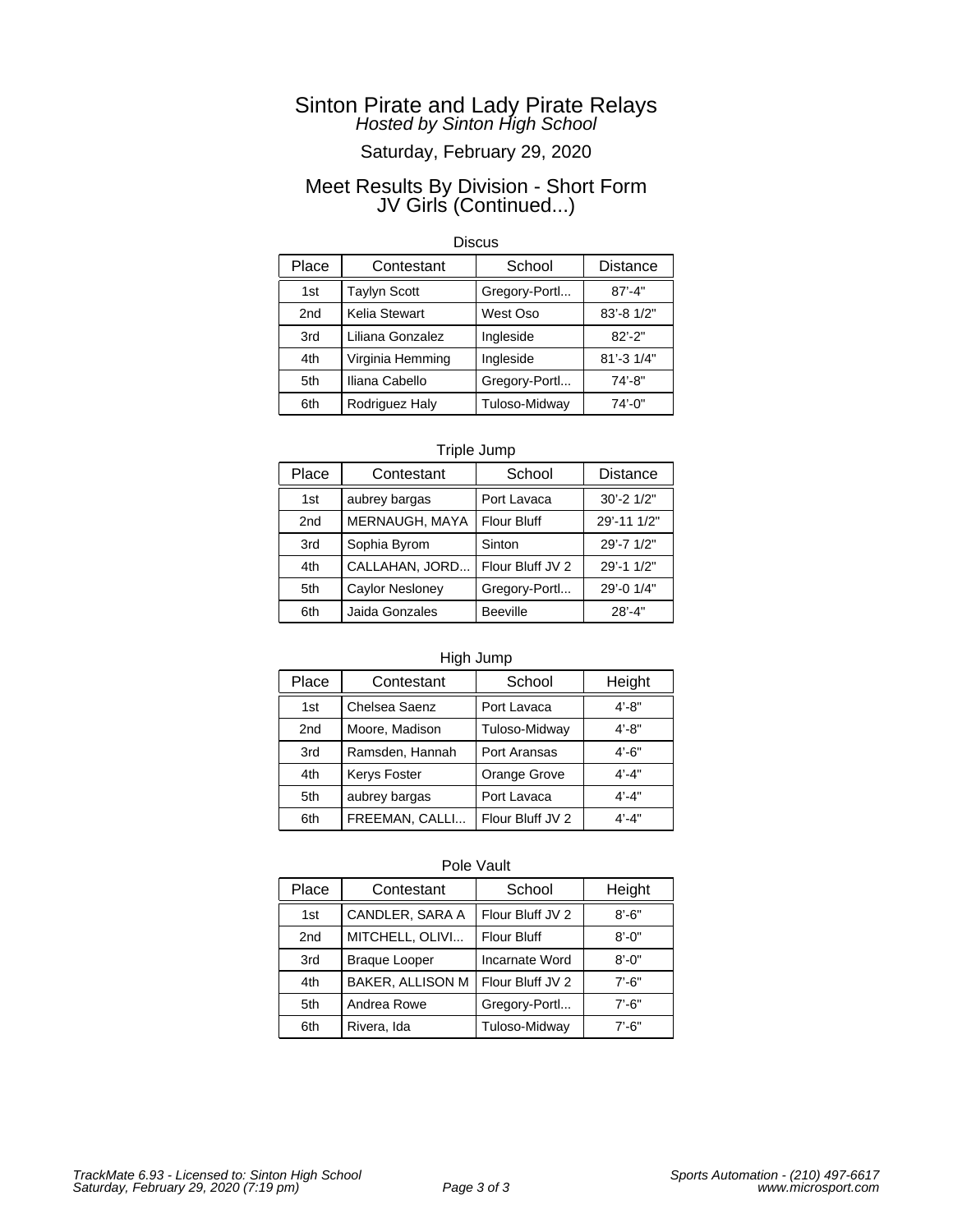# Saturday, February 29, 2020

### Meet Results By Division - Short Form JV Girls (Continued...)

#### **Discus**

| Place | Contestant          | School        | <b>Distance</b> |
|-------|---------------------|---------------|-----------------|
| 1st   | <b>Taylyn Scott</b> | Gregory-Portl | $87' - 4"$      |
| 2nd   | Kelia Stewart       | West Oso      | 83'-8 1/2"      |
| 3rd   | Liliana Gonzalez    | Ingleside     | $82' - 2"$      |
| 4th   | Virginia Hemming    | Ingleside     | 81'-3 1/4"      |
| 5th   | Iliana Cabello      | Gregory-Portl | $74' - 8"$      |
| 6th   | Rodriguez Haly      | Tuloso-Midway | 74'-0"          |

### Triple Jump

| Place | Contestant             | School           | <b>Distance</b> |
|-------|------------------------|------------------|-----------------|
| 1st   | aubrey bargas          | Port Lavaca      | 30'-2 1/2"      |
| 2nd   | MERNAUGH, MAYA         | Flour Bluff      | 29'-11 1/2"     |
| 3rd   | Sophia Byrom           | Sinton           | 29'-7 1/2"      |
| 4th   | CALLAHAN, JORD         | Flour Bluff JV 2 | 29'-1 1/2"      |
| 5th   | <b>Caylor Nesloney</b> | Gregory-Portl    | 29'-0 1/4"      |
| 6th   | Jaida Gonzales         | <b>Beeville</b>  | $28' - 4"$      |

### High Jump

| Place | Contestant          | School           | Height    |
|-------|---------------------|------------------|-----------|
| 1st   | Chelsea Saenz       | Port Lavaca      | $4' - 8"$ |
| 2nd   | Moore, Madison      | Tuloso-Midway    | $4' - 8"$ |
| 3rd   | Ramsden, Hannah     | Port Aransas     | $4' - 6"$ |
| 4th   | <b>Kerys Foster</b> | Orange Grove     | $4' - 4"$ |
| 5th   | aubrey bargas       | Port Lavaca      | $4' - 4"$ |
| 6th   | FREEMAN, CALLI      | Flour Bluff JV 2 | $4' - 4"$ |

| Place | Contestant           | School             | Height     |
|-------|----------------------|--------------------|------------|
| 1st   | CANDLER, SARA A      | Flour Bluff JV 2   | $8' - 6"$  |
| 2nd   | MITCHELL, OLIVI      | <b>Flour Bluff</b> | $8' - 0''$ |
| 3rd   | <b>Braque Looper</b> | Incarnate Word     | $8' - 0''$ |
| 4th   | BAKER, ALLISON M     | Flour Bluff JV 2   | $7' - 6"$  |
| 5th   | Andrea Rowe          | Gregory-Portl      | $7' - 6''$ |
| 6th   | Rivera, Ida          | Tuloso-Midway      | $7' - 6"$  |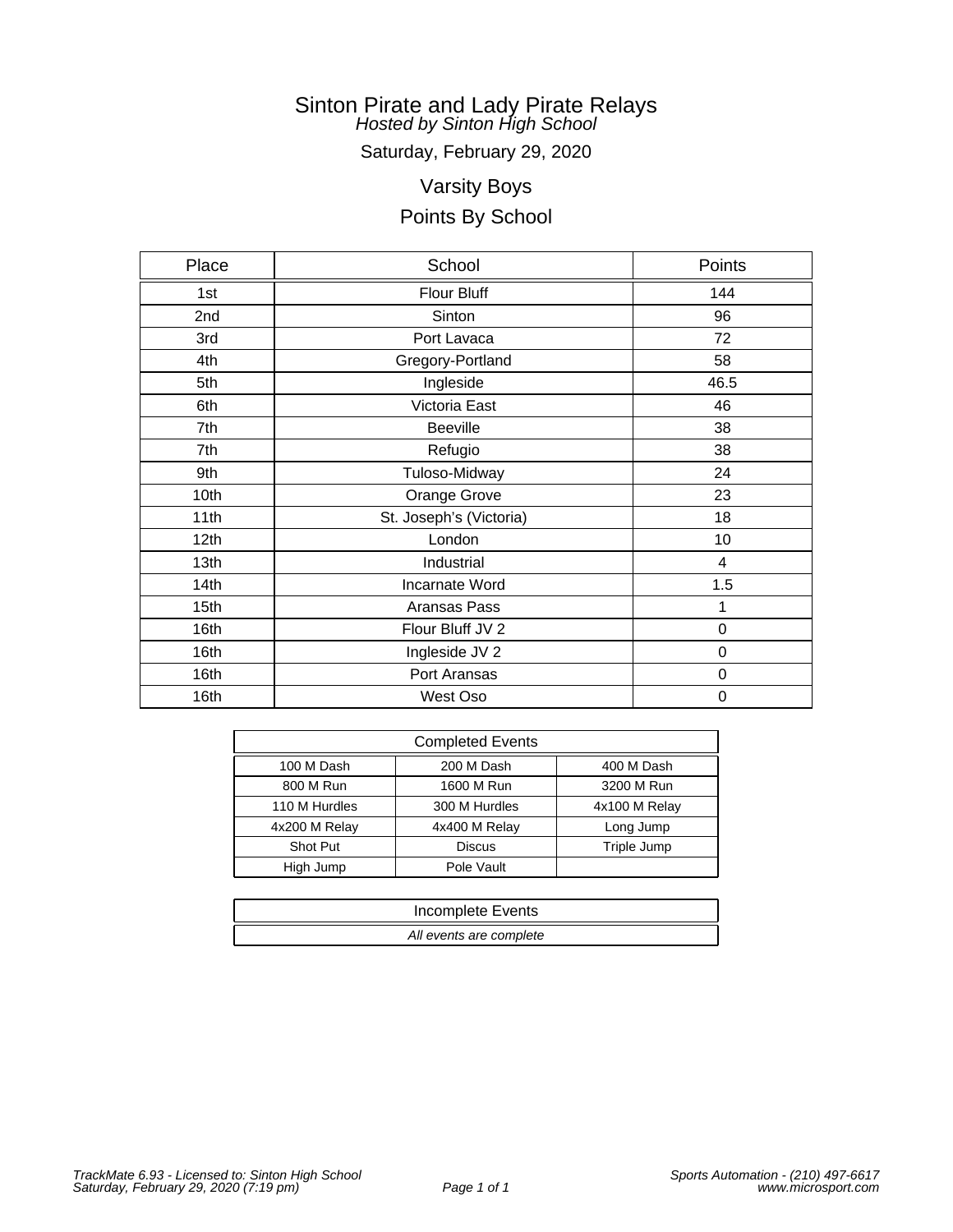Saturday, February 29, 2020

# Varsity Boys

| Place            | School                  | Points      |
|------------------|-------------------------|-------------|
| 1st              | Flour Bluff             | 144         |
| 2nd              | Sinton                  | 96          |
| 3rd              | Port Lavaca             | 72          |
| 4th              | Gregory-Portland        | 58          |
| 5th              | Ingleside               | 46.5        |
| 6th              | Victoria East           | 46          |
| 7th              | <b>Beeville</b>         | 38          |
| 7th              | Refugio                 | 38          |
| 9th              | Tuloso-Midway           | 24          |
| 10th             | Orange Grove            | 23          |
| 11th             | St. Joseph's (Victoria) | 18          |
| 12 <sub>th</sub> | London                  | 10          |
| 13th             | Industrial              | 4           |
| 14 <sub>th</sub> | Incarnate Word          | 1.5         |
| 15th             | Aransas Pass            | 1           |
| 16th             | Flour Bluff JV 2        | 0           |
| 16th             | Ingleside JV 2          | 0           |
| 16th             | Port Aransas            | 0           |
| 16th             | West Oso                | $\mathbf 0$ |

| <b>Completed Events</b> |               |               |  |
|-------------------------|---------------|---------------|--|
| 100 M Dash              | 200 M Dash    | 400 M Dash    |  |
| 800 M Run               | 1600 M Run    | 3200 M Run    |  |
| 110 M Hurdles           | 300 M Hurdles | 4x100 M Relay |  |
| 4x200 M Relay           | 4x400 M Relay | Long Jump     |  |
| Shot Put                | <b>Discus</b> | Triple Jump   |  |
| High Jump               | Pole Vault    |               |  |

| Incomplete Events       |
|-------------------------|
| All events are complete |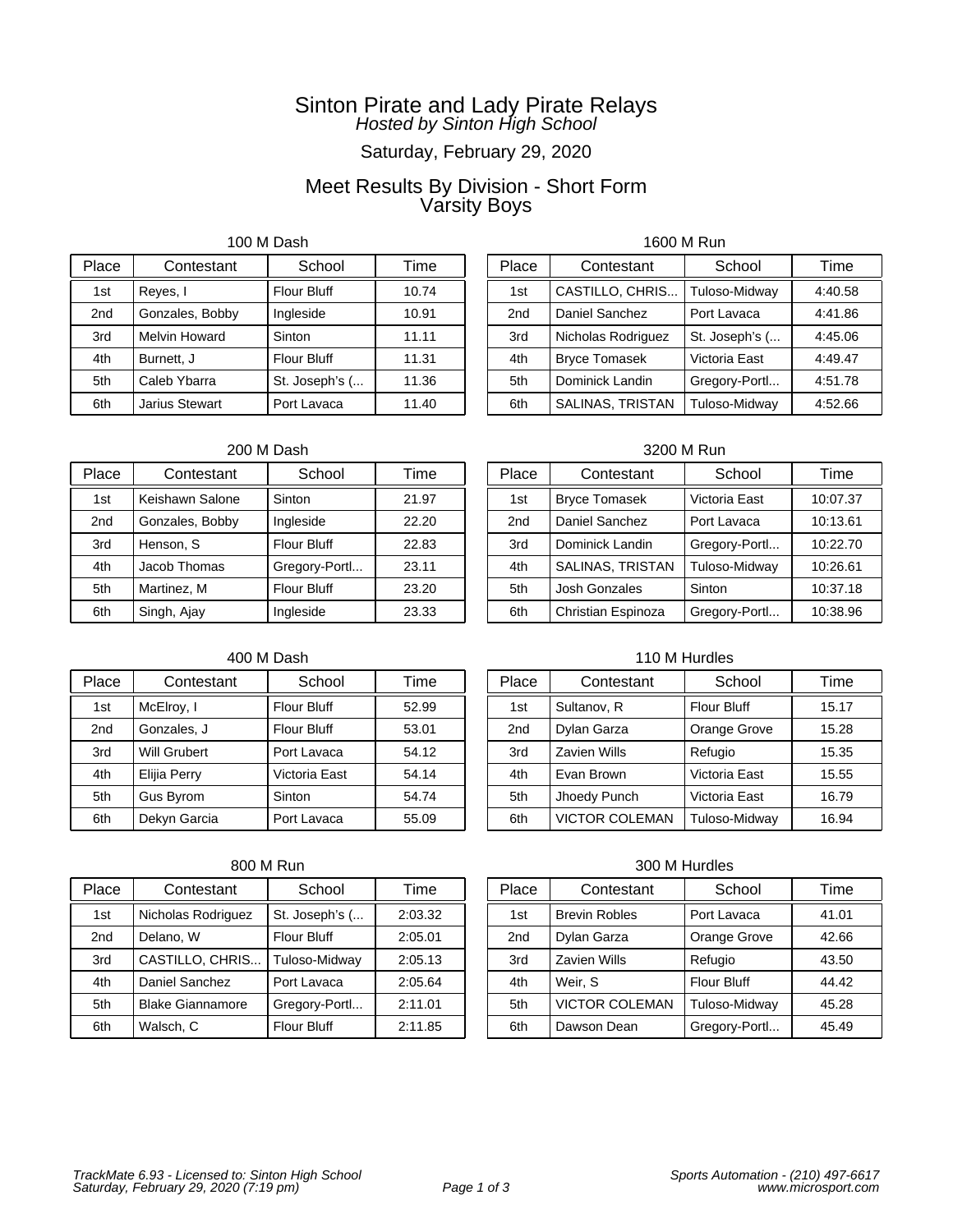# Saturday, February 29, 2020

# Meet Results By Division - Short Form Varsity Boys

100 M Dash

| Place           | Contestant           | School             | Time  |
|-----------------|----------------------|--------------------|-------|
| 1st             | Reyes, I             | <b>Flour Bluff</b> | 10.74 |
| 2 <sub>nd</sub> | Gonzales, Bobby      | Ingleside          | 10.91 |
| 3rd             | <b>Melvin Howard</b> | Sinton             | 11.11 |
| 4th             | Burnett. J           | <b>Flour Bluff</b> | 11.31 |
| 5th             | Caleb Ybarra         | St. Joseph's (     | 11.36 |
| 6th             | Jarius Stewart       | Port Lavaca        | 11.40 |

# 1600 M Run

| Place | Contestant           | School         | Time    |
|-------|----------------------|----------------|---------|
| 1st   | CASTILLO, CHRIS      | Tuloso-Midway  | 4:40.58 |
| 2nd   | Daniel Sanchez       | Port Lavaca    | 4:41.86 |
| 3rd   | Nicholas Rodriguez   | St. Joseph's ( | 4:45.06 |
| 4th   | <b>Bryce Tomasek</b> | Victoria East  | 4:49.47 |
| 5th   | Dominick Landin      | Gregory-Portl  | 4:51.78 |
| 6th   | SALINAS, TRISTAN     | Tuloso-Midwav  | 4:52.66 |

### 200 M Dash

| Place           | Contestant      | School             | Time  |
|-----------------|-----------------|--------------------|-------|
| 1st             | Keishawn Salone | Sinton             | 21.97 |
| 2 <sub>nd</sub> | Gonzales, Bobby | Ingleside          | 22.20 |
| 3rd             | Henson, S       | <b>Flour Bluff</b> | 22.83 |
| 4th             | Jacob Thomas    | Gregory-Portl      | 23.11 |
| 5th             | Martinez, M     | <b>Flour Bluff</b> | 23.20 |
| 6th             | Singh, Ajay     | Ingleside          | 23.33 |

### 400 M Dash

| Place | Contestant          | School             | Time  |
|-------|---------------------|--------------------|-------|
| 1st   | McElroy, I          | <b>Flour Bluff</b> | 52.99 |
| 2nd   | Gonzales, J         | <b>Flour Bluff</b> | 53.01 |
| 3rd   | <b>Will Grubert</b> | Port Lavaca        | 54.12 |
| 4th   | Elijia Perry        | Victoria East      | 54.14 |
| 5th   | <b>Gus Byrom</b>    | Sinton             | 54.74 |
| 6th   | Dekyn Garcia        | Port Lavaca        | 55.09 |

### 800 M Run

| Place           | Contestant              | School             | Time    |
|-----------------|-------------------------|--------------------|---------|
| 1st             | Nicholas Rodriguez      | St. Joseph's (     | 2:03.32 |
| 2 <sub>nd</sub> | Delano, W               | <b>Flour Bluff</b> | 2:05.01 |
| 3rd             | CASTILLO, CHRIS         | Tuloso-Midway      | 2:05.13 |
| 4th             | Daniel Sanchez          | Port Lavaca        | 2:05.64 |
| 5th             | <b>Blake Giannamore</b> | Gregory-Portl      | 2:11.01 |
| 6th             | Walsch, C               | <b>Flour Bluff</b> | 2:11.85 |

### 3200 M Run

| Place | Contestant           | School        | Time     |
|-------|----------------------|---------------|----------|
| 1st   | <b>Bryce Tomasek</b> | Victoria East | 10:07.37 |
| 2nd   | Daniel Sanchez       | Port Lavaca   | 10:13.61 |
| 3rd   | Dominick Landin      | Gregory-Portl | 10:22.70 |
| 4th   | SALINAS, TRISTAN     | Tuloso-Midway | 10:26.61 |
| 5th   | <b>Josh Gonzales</b> | Sinton        | 10:37.18 |
| 6th   | Christian Espinoza   | Gregory-Portl | 10:38.96 |

### 110 M Hurdles

| Place | Contestant            | School             | Time  |
|-------|-----------------------|--------------------|-------|
| 1st   | Sultanov, R           | <b>Flour Bluff</b> | 15.17 |
| 2nd   | Dylan Garza           | Orange Grove       | 15.28 |
| 3rd   | Zavien Wills          | Refugio            | 15.35 |
| 4th   | Evan Brown            | Victoria East      | 15.55 |
| 5th   | Jhoedy Punch          | Victoria East      | 16.79 |
| 6th   | <b>VICTOR COLEMAN</b> | Tuloso-Midway      | 16.94 |

| Place           | Contestant            | School             | Time  |
|-----------------|-----------------------|--------------------|-------|
| 1st             | <b>Brevin Robles</b>  | Port Lavaca        | 41.01 |
| 2 <sub>nd</sub> | Dylan Garza           | Orange Grove       | 42.66 |
| 3rd             | <b>Zavien Wills</b>   | Refugio            | 43.50 |
| 4th             | Weir. S               | <b>Flour Bluff</b> | 44.42 |
| 5th             | <b>VICTOR COLEMAN</b> | Tuloso-Midway      | 45.28 |
| 6th             | Dawson Dean           | Gregory-Portl      | 45.49 |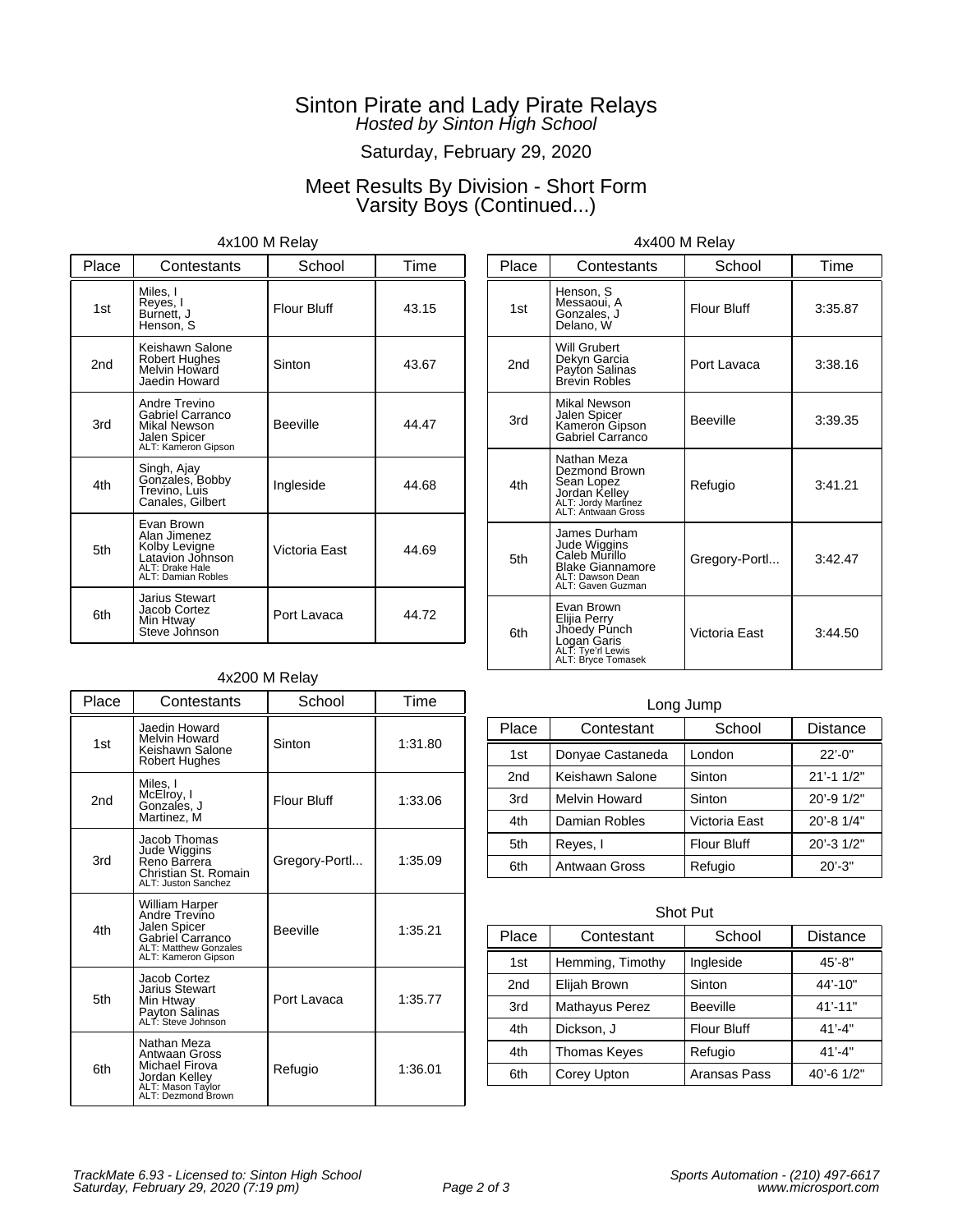# Saturday, February 29, 2020

# Meet Results By Division - Short Form Varsity Boys (Continued...)

### 4x100 M Relay

| Place           | Contestants                                                                                              | School             | Time  |
|-----------------|----------------------------------------------------------------------------------------------------------|--------------------|-------|
| 1st             | Miles, I<br>Reyes, I<br>Burnett, J<br>Henson, S                                                          | <b>Flour Bluff</b> | 43.15 |
| 2 <sub>nd</sub> | Keishawn Salone<br>Robert Hughes<br>Melvin Howard<br>Jaedin Howard                                       | Sinton             | 43.67 |
| 3rd             | Andre Trevino<br>Gabriel Carranco<br>Mikal Newson<br>Jalen Spicer<br>ALT: Kameron Gipson                 | <b>Beeville</b>    | 44.47 |
| 4th             | Singh, Ajay<br>Gonzales, Bobby<br>Trevino, Luis<br>Canales, Gilbert                                      | Ingleside          | 44.68 |
| 5th             | Evan Brown<br>Alan Jimenez<br>Kolby Levigne<br>Latavion Johnson<br>ALT: Drake Hale<br>ALT: Damian Robles | Victoria East      | 44.69 |
| 6th             | Jarius Stewart<br>Jacob Cortez<br>Min Htway<br>Steve Johnson                                             | Port Lavaca        | 44.72 |

### 4x200 M Relay

| Place | Contestants                                                                                                                | School             | Time    |
|-------|----------------------------------------------------------------------------------------------------------------------------|--------------------|---------|
| 1st   | Jaedin Howard<br>Melvin Howard<br>Keishawn Salone<br><b>Robert Hughes</b>                                                  | Sinton             | 1:31.80 |
| 2nd   | Miles, I<br>McElroy, I<br>Gonzales, J<br>Martinez, M                                                                       | <b>Flour Bluff</b> | 1:33.06 |
| 3rd   | Jacob Thomas<br>Jude Wiggins<br>Reno Barrera<br>Christian St. Romain<br>ALT: Juston Sanchez                                | Gregory-Portl      | 1:35.09 |
| 4th   | William Harper<br>Andre Trevino<br>Jalen Spicer<br>Gabriel Carranco<br><b>ALT: Matthew Gonzales</b><br>ALT: Kameron Gipson | <b>Beeville</b>    | 1:35.21 |
| 5th   | Jacob Cortez<br><b>Jarius Stewart</b><br>Min Htway<br>Payton Salinas<br>ALT: Steve Johnson                                 | Port Lavaca        | 1:35.77 |
| 6th   | Nathan Meza<br>Antwaan Gross<br>Michael Firova<br>Jordan Kelley<br>ALT: Mason Taylor<br>ALT: Dezmond Brown                 | Refugio            | 1:36.01 |

| Place | Contestants                                                                                                       | School             | Time    |
|-------|-------------------------------------------------------------------------------------------------------------------|--------------------|---------|
| 1st   | Henson, S<br>Messaoui, A<br>Gonzales, J<br>Delano. W                                                              | <b>Flour Bluff</b> | 3:35.87 |
| 2nd   | Will Grubert<br>Dekyn Garcia<br>Payton Salinas<br>Brevin Robles                                                   | Port Lavaca        | 3:38.16 |
| 3rd   | Mikal Newson<br>Jalen Spicer<br>Kameron Gipson<br>Gabriel Carranco                                                | <b>Beeville</b>    | 3:39.35 |
| 4th   | Nathan Meza<br>Dezmond Brown<br>Sean Lopez<br>Jordan Kelley<br>ALT: Jordy Martinez<br>ALT: Antwaan Gross          | Refugio            | 3:41.21 |
| 5th   | James Durham<br>Jude Wiggins<br>Caleb Murillo<br><b>Blake Giannamore</b><br>ALT: Dawson Dean<br>ALT: Gaven Guzman | Gregory-Portl      | 3:42.47 |
| 6th   | Evan Brown<br>Elijia Perry<br>Jhoedy Punch<br>Logan Garis<br>ALT: Tye'rl Lewis<br>ALT: Bryce Tomasek              | Victoria East      | 3:44.50 |

4x400 M Relay

# Long Jump Place Contestant School Distance

| l lave          | ννπισσιαπι           | וטטווטט            | <b>DISIGIIUC</b> |
|-----------------|----------------------|--------------------|------------------|
| 1st             | Donyae Castaneda     | London             | $22' - 0$ "      |
| 2 <sub>nd</sub> | Keishawn Salone      | Sinton             | $21' - 11/2"$    |
| 3rd             | <b>Melvin Howard</b> | Sinton             | 20'-9 1/2"       |
| 4th             | Damian Robles        | Victoria East      | 20'-8 1/4"       |
| 5th             | Reyes, I             | <b>Flour Bluff</b> | 20'-3 1/2"       |
| 6th             | <b>Antwaan Gross</b> | Refugio            | $20' - 3"$       |

### Shot Put

| Place           | Contestant       | School             | <b>Distance</b>  |
|-----------------|------------------|--------------------|------------------|
| 1st             | Hemming, Timothy | Ingleside          | $45' - 8"$       |
| 2 <sub>nd</sub> | Elijah Brown     | Sinton             | 44'-10"          |
| 3rd             | Mathayus Perez   | <b>Beeville</b>    | $41' - 11"$      |
| 4th             | Dickson, J       | <b>Flour Bluff</b> | $41' - 4"$       |
| 4th             | Thomas Keyes     | Refugio            | $41' - 4"$       |
| 6th             | Corey Upton      | Aransas Pass       | $40' - 6$ $1/2"$ |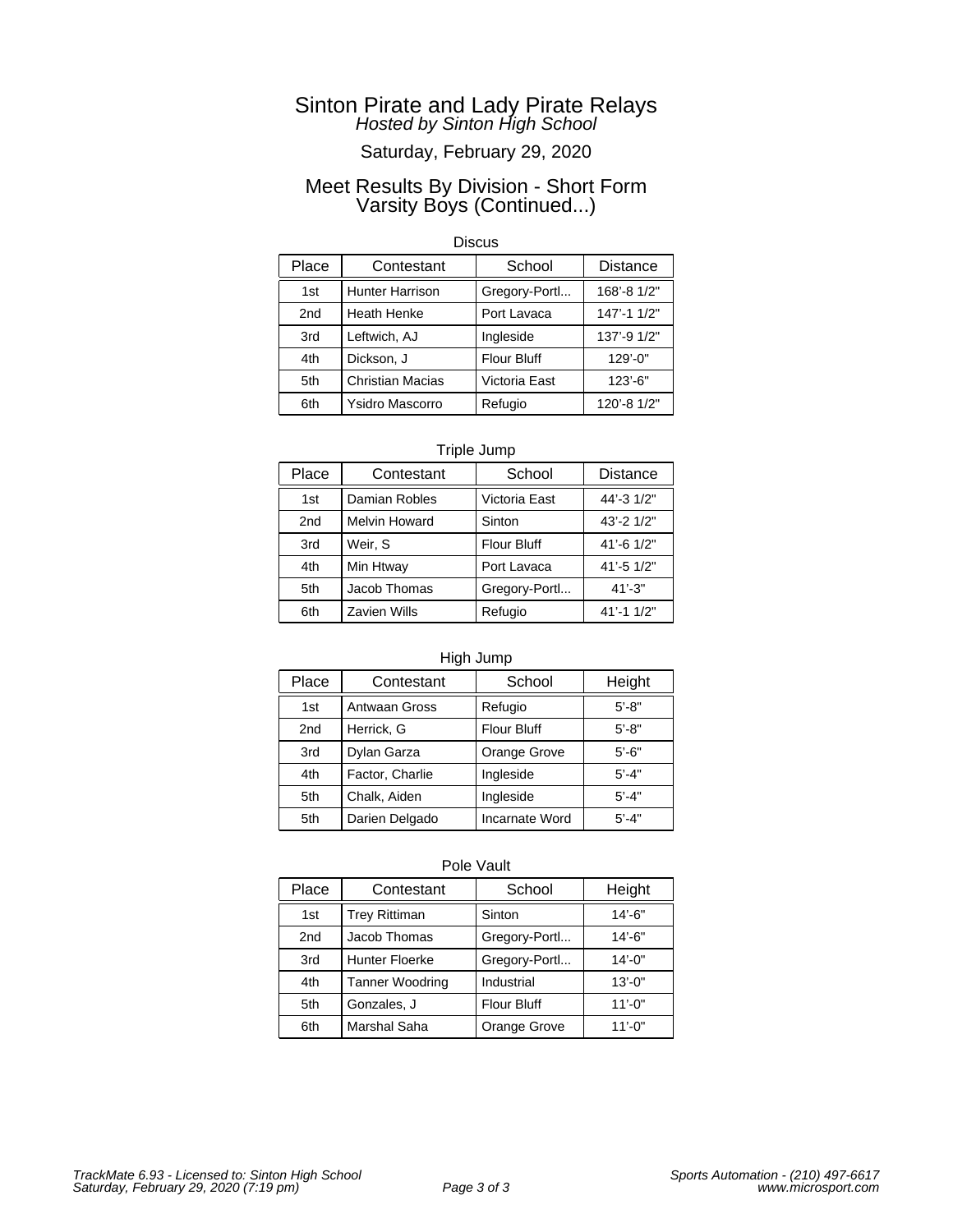# Saturday, February 29, 2020

### Meet Results By Division - Short Form Varsity Boys (Continued...)

#### **Discus**

| Place | Contestant              | School             | <b>Distance</b> |
|-------|-------------------------|--------------------|-----------------|
| 1st   | <b>Hunter Harrison</b>  | Gregory-Portl      | 168'-8 1/2"     |
| 2nd   | <b>Heath Henke</b>      | Port Lavaca        | 147'-1 1/2"     |
| 3rd   | Leftwich, AJ            | Ingleside          | 137'-9 1/2"     |
| 4th   | Dickson, J              | <b>Flour Bluff</b> | $129' - 0$ "    |
| 5th   | <b>Christian Macias</b> | Victoria East      | $123' - 6"$     |
| 6th   | <b>Ysidro Mascorro</b>  | Refugio            | 120'-8 1/2"     |

### Triple Jump

| Place | Contestant           | School             | <b>Distance</b> |
|-------|----------------------|--------------------|-----------------|
| 1st   | Damian Robles        | Victoria East      | 44'-3 1/2"      |
| 2nd   | <b>Melvin Howard</b> | Sinton             | 43'-2 1/2"      |
| 3rd   | Weir, S              | <b>Flour Bluff</b> | 41'-6 1/2"      |
| 4th   | Min Htway            | Port Lavaca        | 41'-5 1/2"      |
| 5th   | Jacob Thomas         | Gregory-Portl      | $41' - 3"$      |
| 6th   | <b>Zavien Wills</b>  | Refugio            | 41'-1 1/2"      |

### High Jump

| Place           | Contestant      | School             | Height    |
|-----------------|-----------------|--------------------|-----------|
| 1 <sub>st</sub> | Antwaan Gross   | Refugio            | $5' - 8"$ |
| 2nd             | Herrick, G      | <b>Flour Bluff</b> | $5' - 8"$ |
| 3rd             | Dylan Garza     | Orange Grove       | $5' - 6"$ |
| 4th             | Factor, Charlie | Ingleside          | $5' - 4"$ |
| 5th             | Chalk, Aiden    | Ingleside          | $5' - 4"$ |
| 5th             | Darien Delgado  | Incarnate Word     | $5' - 4"$ |

| Place | Contestant             | School             | Height      |
|-------|------------------------|--------------------|-------------|
| 1st   | <b>Trey Rittiman</b>   | Sinton             | $14' - 6"$  |
| 2nd   | Jacob Thomas           | Gregory-Portl      | $14' - 6"$  |
| 3rd   | <b>Hunter Floerke</b>  | Gregory-Portl      | $14' - 0''$ |
| 4th   | <b>Tanner Woodring</b> | Industrial         | $13' - 0''$ |
| 5th   | Gonzales, J            | <b>Flour Bluff</b> | $11' - 0''$ |
| 6th   | Marshal Saha           | Orange Grove       | $11' - 0''$ |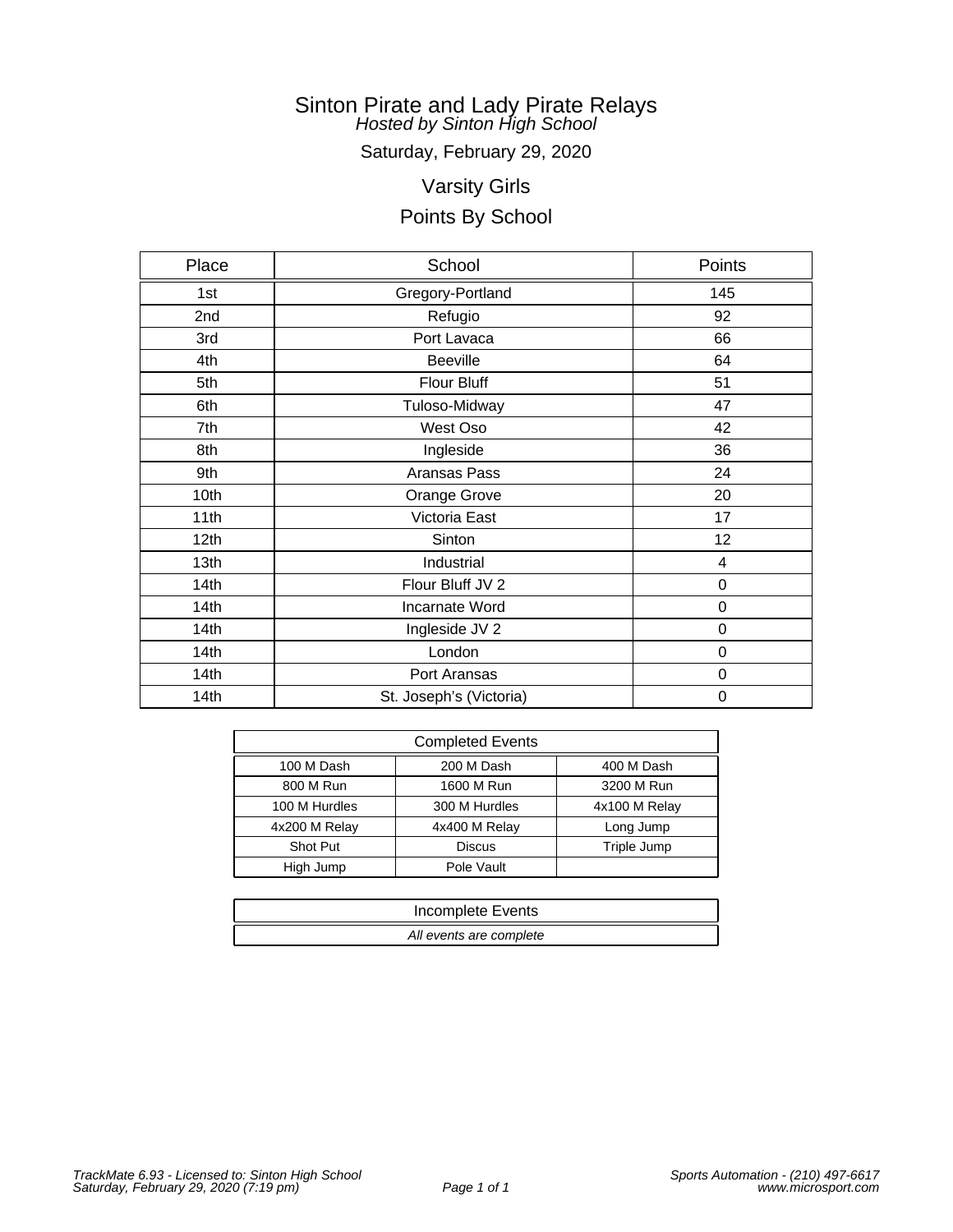Saturday, February 29, 2020

# Varsity Girls

| Place            | School                  | Points           |
|------------------|-------------------------|------------------|
| 1st              | Gregory-Portland        | 145              |
| 2nd              | Refugio                 | 92               |
| 3rd              | Port Lavaca             | 66               |
| 4th              | <b>Beeville</b>         | 64               |
| 5th              | Flour Bluff             | 51               |
| 6th              | Tuloso-Midway           | 47               |
| 7th              | West Oso                | 42               |
| 8th              | Ingleside               | 36               |
| 9th              | Aransas Pass            | 24               |
| 10th             | Orange Grove            | 20               |
| 11th             | Victoria East           | 17               |
| 12 <sub>th</sub> | Sinton                  | 12               |
| 13th             | Industrial              | 4                |
| 14th             | Flour Bluff JV 2        | 0                |
| 14 <sub>th</sub> | Incarnate Word          | 0                |
| 14th             | Ingleside JV 2          | $\boldsymbol{0}$ |
| 14th             | London                  | 0                |
| 14th             | Port Aransas            | 0                |
| 14th             | St. Joseph's (Victoria) | 0                |

| <b>Completed Events</b> |               |               |  |
|-------------------------|---------------|---------------|--|
| 100 M Dash              | 200 M Dash    | 400 M Dash    |  |
| 800 M Run               | 1600 M Run    | 3200 M Run    |  |
| 100 M Hurdles           | 300 M Hurdles | 4x100 M Relay |  |
| 4x200 M Relay           | 4x400 M Relay | Long Jump     |  |
| Shot Put                | <b>Discus</b> | Triple Jump   |  |
| High Jump               | Pole Vault    |               |  |

| Incomplete Events       |
|-------------------------|
| All events are complete |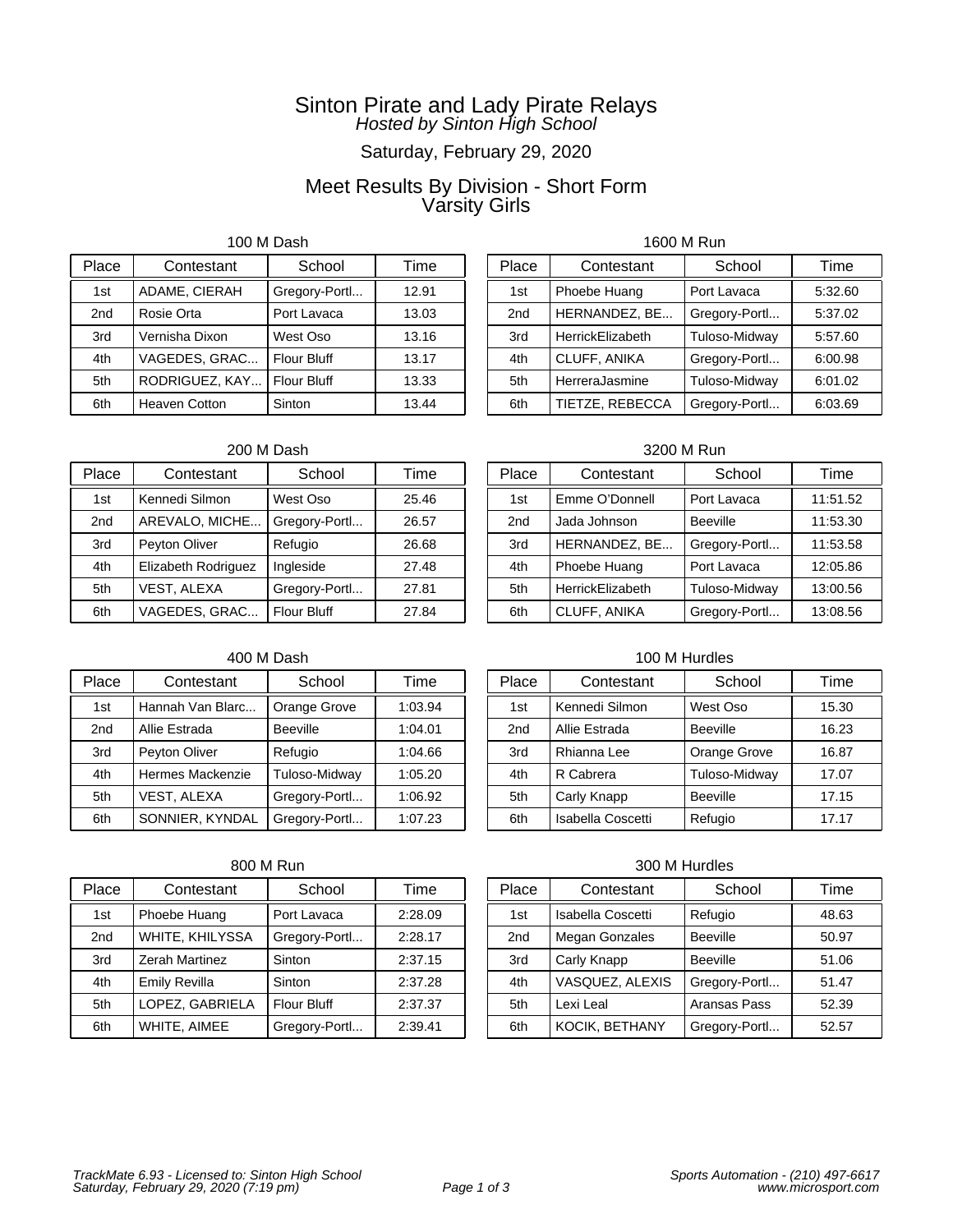# Saturday, February 29, 2020

# Meet Results By Division - Short Form Varsity Girls

100 M Dash

| Place           | Contestant           | School             | Time  |
|-----------------|----------------------|--------------------|-------|
| 1st             | ADAME, CIERAH        | Gregory-Portl      | 12.91 |
| 2 <sub>nd</sub> | Rosie Orta           | Port Lavaca        | 13.03 |
| 3rd             | Vernisha Dixon       | West Oso           | 13.16 |
| 4th             | VAGEDES, GRAC        | <b>Flour Bluff</b> | 13.17 |
| 5th             | RODRIGUEZ, KAY       | <b>Flour Bluff</b> | 13.33 |
| 6th             | <b>Heaven Cotton</b> | Sinton             | 13.44 |

### 1600 M Run

| Place | Contestant       | School        | Time    |
|-------|------------------|---------------|---------|
| 1st   | Phoebe Huang     | Port Lavaca   | 5:32.60 |
| 2nd   | HERNANDEZ, BE    | Gregory-Portl | 5:37.02 |
| 3rd   | HerrickElizabeth | Tuloso-Midway | 5:57.60 |
| 4th   | CLUFF, ANIKA     | Gregory-Portl | 6:00.98 |
| 5th   | HerreraJasmine   | Tuloso-Midway | 6:01.02 |
| 6th   | TIETZE, REBECCA  | Gregory-Portl | 6:03.69 |

### 200 M Dash

| Place | Contestant          | School             | Time  |
|-------|---------------------|--------------------|-------|
| 1st   | Kennedi Silmon      | West Oso           | 25.46 |
| 2nd   | AREVALO, MICHE      | Gregory-Portl      | 26.57 |
| 3rd   | Peyton Oliver       | Refugio            | 26.68 |
| 4th   | Elizabeth Rodriguez | Ingleside          | 27.48 |
| 5th   | VEST, ALEXA         | Gregory-Portl      | 27.81 |
| 6th   | VAGEDES, GRAC       | <b>Flour Bluff</b> | 27.84 |

### 400 M Dash

| Place           | Contestant         | School          | Time    |
|-----------------|--------------------|-----------------|---------|
| 1st             | Hannah Van Blarc   | Orange Grove    | 1:03.94 |
| 2 <sub>nd</sub> | Allie Estrada      | <b>Beeville</b> | 1:04.01 |
| 3rd             | Peyton Oliver      | Refugio         | 1:04.66 |
| 4th             | Hermes Mackenzie   | Tuloso-Midway   | 1:05.20 |
| 5th             | <b>VEST, ALEXA</b> | Gregory-Portl   | 1:06.92 |
| 6th             | SONNIER, KYNDAL    | Gregory-Portl   | 1:07.23 |

### 800 M Run

| Place           | Contestant           | School             | Time    |
|-----------------|----------------------|--------------------|---------|
| 1st             | Phoebe Huang         | Port Lavaca        | 2:28.09 |
| 2 <sub>nd</sub> | WHITE, KHILYSSA      | Gregory-Portl      | 2:28.17 |
| 3rd             | Zerah Martinez       | Sinton             | 2:37.15 |
| 4th             | <b>Emily Revilla</b> | Sinton             | 2:37.28 |
| 5th             | LOPEZ, GABRIELA      | <b>Flour Bluff</b> | 2:37.37 |
| 6th             | WHITE, AIMEE         | Gregory-Portl      | 2:39.41 |

### 3200 M Run

| Place | Contestant       | School          | Time     |
|-------|------------------|-----------------|----------|
| 1st   | Emme O'Donnell   | Port Lavaca     | 11:51.52 |
| 2nd   | Jada Johnson     | <b>Beeville</b> | 11:53.30 |
| 3rd   | HERNANDEZ, BE    | Gregory-Portl   | 11:53.58 |
| 4th   | Phoebe Huang     | Port Lavaca     | 12:05.86 |
| 5th   | HerrickElizabeth | Tuloso-Midway   | 13:00.56 |
| 6th   | CLUFF, ANIKA     | Gregory-Portl   | 13:08.56 |

### 100 M Hurdles

| Place | Contestant        | School          | Time  |
|-------|-------------------|-----------------|-------|
| 1st   | Kennedi Silmon    | West Oso        | 15.30 |
| 2nd   | Allie Estrada     | <b>Beeville</b> | 16.23 |
| 3rd   | Rhianna Lee       | Orange Grove    | 16.87 |
| 4th   | R Cabrera         | Tuloso-Midway   | 17.07 |
| 5th   | Carly Knapp       | <b>Beeville</b> | 17.15 |
| 6th   | Isabella Coscetti | Refugio         | 17.17 |

| Place           | Contestant        | School          | Time  |
|-----------------|-------------------|-----------------|-------|
| 1st             | Isabella Coscetti | Refugio         | 48.63 |
| 2 <sub>nd</sub> | Megan Gonzales    | <b>Beeville</b> | 50.97 |
| 3rd             | Carly Knapp       | <b>Beeville</b> | 51.06 |
| 4th             | VASQUEZ, ALEXIS   | Gregory-Portl   | 51.47 |
| 5th             | Lexi Leal         | Aransas Pass    | 52.39 |
| 6th             | KOCIK, BETHANY    | Gregory-Portl   | 52.57 |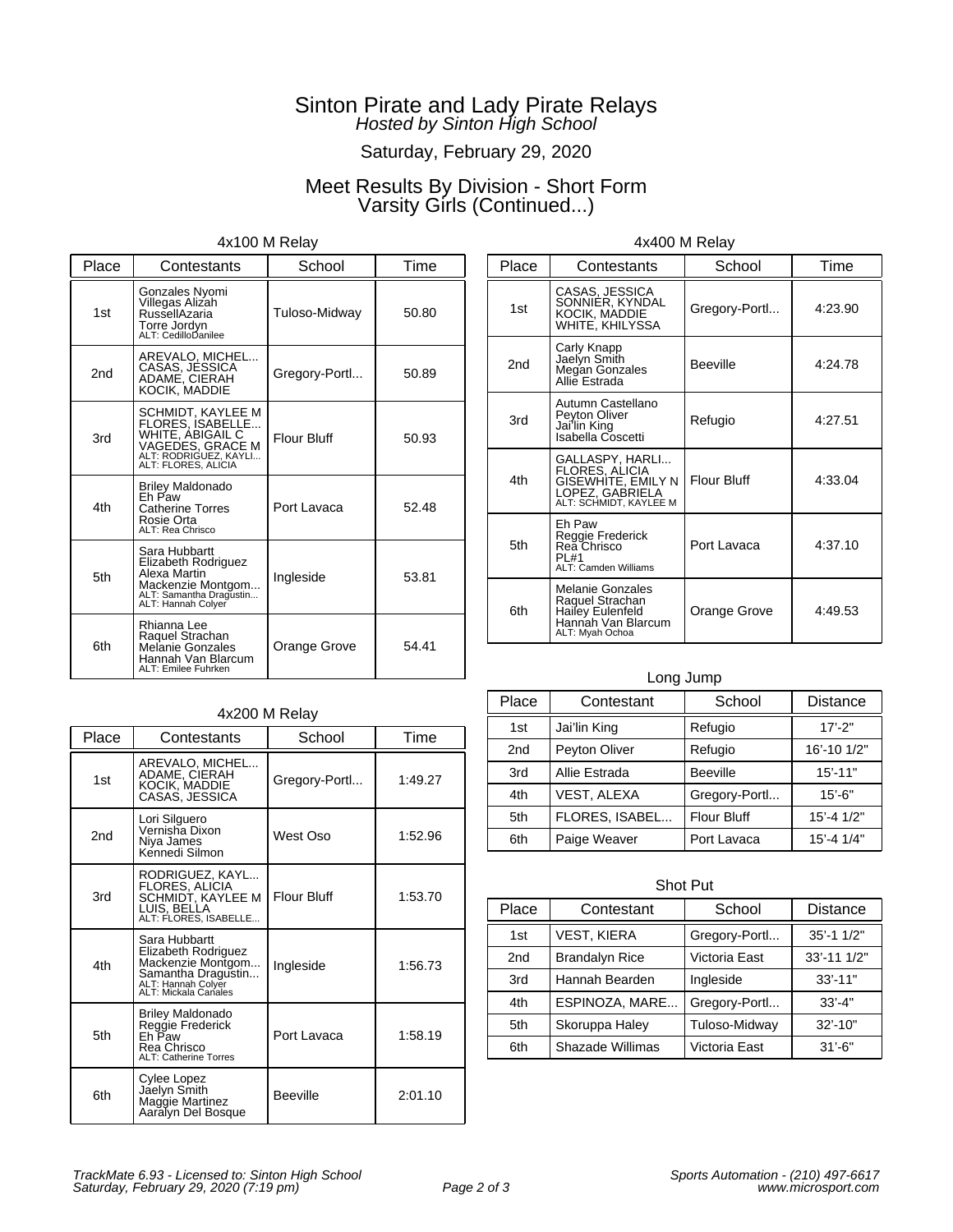# Saturday, February 29, 2020

# Meet Results By Division - Short Form Varsity Girls (Continued...)

### 4x100 M Relay

| Place           | Contestants                                                                                                                          | School             | Time  |
|-----------------|--------------------------------------------------------------------------------------------------------------------------------------|--------------------|-------|
| 1st             | Gonzales Nyomi<br>Villegas Alizah<br>RussellAzaria<br>Torre Jordyn<br>ALT: CedilloDanilee                                            | Tuloso-Midway      | 50.80 |
| 2 <sub>nd</sub> | AREVALO, MICHEL<br>CASAS, JESSICA<br>ADAME, CIERAH<br>KOCIK. MADDIE                                                                  | Gregory-Portl      | 50.89 |
| 3rd             | SCHMIDT, KAYLEE M<br>FLORES, ISABELLE<br><b>WHITE, ABIGAIL C</b><br>VAGEDES, GRACE M<br>ALT: RODRIGUEZ, KAYLI<br>ALT: FLORES, ALICIA | <b>Flour Bluff</b> | 50.93 |
| 4th             | <b>Briley Maldonado</b><br>Fh Paw<br><b>Catherine Torres</b><br>Rosie Orta<br>ALT: Rea Chrisco                                       | Port Lavaca        | 52.48 |
| 5th             | Sara Hubbartt<br>Elizabeth Rodriguez<br>Alexa Martin<br>Mackenzie Montgom<br>ALT: Samantha Dragustin<br>ALT: Hannah Colyer           | Ingleside          | 53.81 |
| 6th             | Rhianna Lee<br>Raquel Strachan<br>Melanie Gonzales<br>Hannah Van Blarcum<br>ALT: Emilee Fuhrken                                      | Orange Grove       | 54.41 |

| Place           | Contestants                                                                                             | School             | Time    |
|-----------------|---------------------------------------------------------------------------------------------------------|--------------------|---------|
| 1st             | CASAS, JESSICA<br>SONNIËR, KYNDAL<br>KOCIK, MÁDDIE<br>WHITE, KHILYSSA                                   | Gregory-Portl      | 4:23.90 |
| 2 <sub>nd</sub> | Carly Knapp<br>Jaelyn Smith<br>Megan Gonzales<br>Allie Estrada                                          | <b>Beeville</b>    | 4:24.78 |
| 3rd             | Autumn Castellano<br>Peyton Oliver<br>Jai'lin King<br>Isabella Coscetti                                 | Refugio            | 4:27.51 |
| 4th             | GALLASPY, HARLI<br>FLORES, ALICIA<br>GISEWHITE, EMILY N<br>LOPEZ, GABRIELA<br>ALT: SCHMIDT, KAYLEE M    | <b>Flour Bluff</b> | 4:33.04 |
| 5th             | Eh Paw<br>Reggie Frederick<br>Rea Chrisco<br>PI #1<br><b>ALT: Camden Williams</b>                       | Port Lavaca        | 4:37.10 |
| 6th             | <b>Melanie Gonzales</b><br>Raquel Strachan<br>Hailey Eulenfeld<br>Hannah Van Blarcum<br>ALT: Myah Ochoa | Orange Grove       | 4:49.53 |

4x400 M Relay

### Long Jump

| Place | Contestant     | School             | <b>Distance</b> |
|-------|----------------|--------------------|-----------------|
| 1st   | Jai'lin King   | Refugio            | $17' - 2"$      |
| 2nd   | Peyton Oliver  | Refugio            | 16'-10 1/2"     |
| 3rd   | Allie Estrada  | <b>Beeville</b>    | $15' - 11"$     |
| 4th   | VEST, ALEXA    | Gregory-Portl      | $15' - 6"$      |
| 5th   | FLORES, ISABEL | <b>Flour Bluff</b> | $15' - 41/2"$   |
| 6th   | Paige Weaver   | Port Lavaca        | 15'-4 1/4"      |

| <b>Shot Put</b> |                       |               |                 |  |
|-----------------|-----------------------|---------------|-----------------|--|
| Place           | Contestant            | School        | Distance        |  |
| 1st             | VEST, KIERA           | Gregory-Portl | 35'-1 1/2"      |  |
| 2 <sub>nd</sub> | <b>Brandalyn Rice</b> | Victoria East | $33' - 111'2''$ |  |
| 3rd             | Hannah Bearden        | Ingleside     | $33' - 11"$     |  |
| 4th             | ESPINOZA, MARE        | Gregory-Portl | $33' - 4"$      |  |
| 5th             | Skoruppa Haley        | Tuloso-Midway | $32' - 10''$    |  |
| 6th             | Shazade Willimas      | Victoria East | $31' - 6"$      |  |

### 4x200 M Relay

| Place           | Contestants                                                                                                                   | School             | Time    |
|-----------------|-------------------------------------------------------------------------------------------------------------------------------|--------------------|---------|
| 1st             | AREVALO, MICHEL<br>ADAME, CIERAH<br>KOCIK, MADDIE<br>CASAS, JESSICA                                                           | Gregory-Portl      | 1:49.27 |
| 2 <sub>nd</sub> | Lori Silguero<br>Vernisha Dixon<br>Niya James<br>Kennedi Silmon                                                               | West Oso           | 1:52.96 |
| 3rd             | RODRIGUEZ, KAYL<br>FLORES, ALICIA<br>SCHMIDT, KAYLEE M<br>LUIS, BELLA<br>ALT: FLORES. ISABELLE                                | <b>Flour Bluff</b> | 1:53.70 |
| 4th             | Sara Hubbartt<br>Elizabeth Rodriguez<br>Mackenzie Montgom<br>Samantha Dragustin<br>ALT: Hannah Colyer<br>ALT: Mickala Canales | Ingleside          | 1:56.73 |
| 5th             | <b>Briley Maldonado</b><br>Reggie Frederick<br>Eh Paw<br>Rea Chrisco<br><b>ALT: Catherine Torres</b>                          | Port Lavaca        | 1:58.19 |
| 6th             | Cylee Lopez<br>Jáelyn Smith<br>Maggie Martinez<br>Aaralyn Del Bosque                                                          | <b>Beeville</b>    | 2:01.10 |